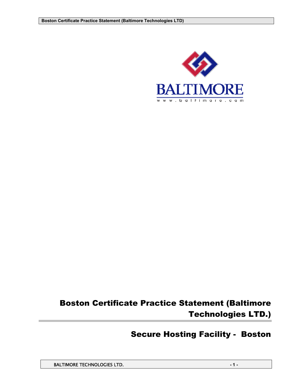

# Boston Certificate Practice Statement (Baltimore Technologies LTD.)

# Secure Hosting Facility - Boston

BALTIMORE TECHNOLOGIES LTD. **And the set of the set of the set of the set of the set of the set of the set of the set of the set of the set of the set of the set of the set of the set of the set of the set of the set of th**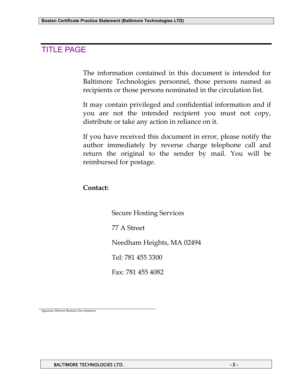# TITLE PAGE

The information contained in this document is intended for Baltimore Technologies personnel, those persons named as recipients or those persons nominated in the circulation list.

It may contain privileged and confidential information and if you are not the intended recipient you must not copy, distribute or take any action in reliance on it.

If you have received this document in error, please notify the author immediately by reverse charge telephone call and return the original to the sender by mail. You will be reimbursed for postage.

# **Contact:**

Secure Hosting Services

77 A Street

Needham Heights, MA 02494

Tel: 781 455 3300

Fax: 781 455 4082

Signature Director Business Development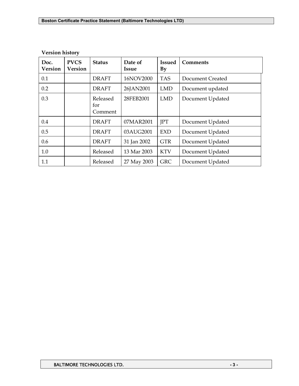| Doc.<br><b>Version</b> | <b>PVCS</b><br><b>Version</b> | <b>Status</b>              | Date of<br><b>Issue</b> | <b>Issued</b><br>$\mathbf{B}\mathbf{y}$ | <b>Comments</b>  |
|------------------------|-------------------------------|----------------------------|-------------------------|-----------------------------------------|------------------|
| 0.1                    |                               | <b>DRAFT</b>               | 16NOV2000               | <b>TAS</b>                              | Document Created |
| 0.2                    |                               | <b>DRAFT</b>               | 26JAN2001               | <b>LMD</b>                              | Document updated |
| 0.3                    |                               | Released<br>for<br>Comment | 28FEB2001               | <b>LMD</b>                              | Document Updated |
| 0.4                    |                               | <b>DRAFT</b>               | 07MAR2001               | JPT                                     | Document Updated |
| 0.5                    |                               | <b>DRAFT</b>               | 03AUG2001               | <b>EXD</b>                              | Document Updated |
| 0.6                    |                               | <b>DRAFT</b>               | 31 Jan 2002             | <b>GTR</b>                              | Document Updated |
| 1.0                    |                               | Released                   | 13 Mar 2003             | <b>KTV</b>                              | Document Updated |
| 1.1                    |                               | Released                   | 27 May 2003             | <b>GRC</b>                              | Document Updated |

## **Version history**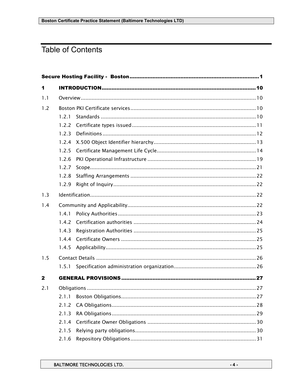# **Table of Contents**

| 1            |       |  |
|--------------|-------|--|
| 1.1          |       |  |
| 1.2          |       |  |
|              | 1.2.1 |  |
|              | 1.2.2 |  |
|              | 1.2.3 |  |
|              | 1.2.4 |  |
|              | 1.2.5 |  |
|              | 1.2.6 |  |
|              | 1.2.7 |  |
|              | 1.2.8 |  |
|              | 1.2.9 |  |
| 1.3          |       |  |
| 1.4          |       |  |
|              | 1.4.1 |  |
|              | 1.4.2 |  |
|              | 1.4.3 |  |
|              | 1.4.4 |  |
|              | 1.4.5 |  |
| 1.5          |       |  |
|              | 1.5.1 |  |
| $\mathbf{2}$ |       |  |
| 2.1          |       |  |
|              | 2.1.1 |  |
|              | 2.1.2 |  |
|              | 2.1.3 |  |
|              | 2.1.4 |  |
|              | 2.1.5 |  |
|              | 2.1.6 |  |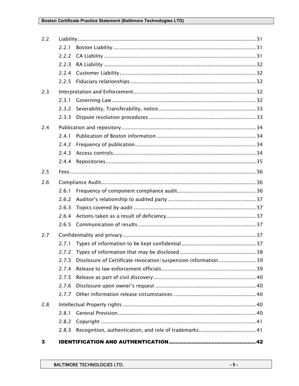| 2.2 |       |                                                                |  |
|-----|-------|----------------------------------------------------------------|--|
|     | 2.2.1 |                                                                |  |
|     | 2.2.2 |                                                                |  |
|     | 2.2.3 |                                                                |  |
|     | 2.2.4 |                                                                |  |
|     | 2.2.5 |                                                                |  |
| 2.3 |       |                                                                |  |
|     | 2.3.1 |                                                                |  |
|     | 2.3.2 |                                                                |  |
|     | 2.3.3 |                                                                |  |
| 2.4 |       |                                                                |  |
|     | 2.4.1 |                                                                |  |
|     | 2.4.2 |                                                                |  |
|     | 2.4.3 |                                                                |  |
|     | 2.4.4 |                                                                |  |
| 2.5 |       |                                                                |  |
| 2.6 |       |                                                                |  |
|     | 2.6.1 |                                                                |  |
|     | 2.6.2 |                                                                |  |
|     | 2.6.3 |                                                                |  |
|     | 2.6.4 |                                                                |  |
|     | 2.6.5 |                                                                |  |
| 2.7 |       |                                                                |  |
|     | 2.7.1 |                                                                |  |
|     |       |                                                                |  |
|     | 2.7.3 | Disclosure of Certificate revocation/suspension information 39 |  |
|     | 2.7.4 |                                                                |  |
|     | 2.7.5 |                                                                |  |
|     | 2.7.6 |                                                                |  |
|     | 2.7.7 |                                                                |  |
| 2.8 |       |                                                                |  |
|     | 2.8.1 |                                                                |  |
|     | 2.8.2 |                                                                |  |
|     | 2.8.3 |                                                                |  |
| 3   |       |                                                                |  |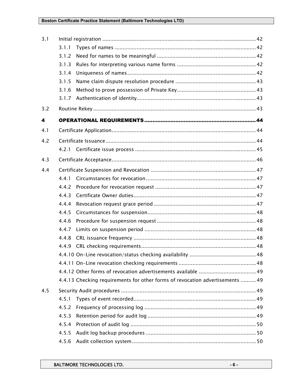| 3.1 |       |                                                                               |
|-----|-------|-------------------------------------------------------------------------------|
|     | 3.1.1 |                                                                               |
|     | 3.1.2 |                                                                               |
|     | 3.1.3 |                                                                               |
|     | 3.1.4 |                                                                               |
|     | 3.1.5 |                                                                               |
|     | 3.1.6 |                                                                               |
|     | 3.1.7 |                                                                               |
| 3.2 |       |                                                                               |
| 4   |       |                                                                               |
| 4.1 |       |                                                                               |
| 4.2 |       |                                                                               |
|     | 4.2.1 |                                                                               |
| 4.3 |       |                                                                               |
|     |       |                                                                               |
| 4.4 |       |                                                                               |
|     | 4.4.1 |                                                                               |
|     | 4.4.2 |                                                                               |
|     | 4.4.3 |                                                                               |
|     | 4.4.4 |                                                                               |
|     | 4.4.5 |                                                                               |
|     | 4.4.6 |                                                                               |
|     | 4.4.7 |                                                                               |
|     | 4.4.8 |                                                                               |
|     | 4.4.9 |                                                                               |
|     |       |                                                                               |
|     |       |                                                                               |
|     |       |                                                                               |
|     |       | 4.4.13 Checking requirements for other forms of revocation advertisements  49 |
| 4.5 |       |                                                                               |
|     | 4.5.1 |                                                                               |
|     | 4.5.2 |                                                                               |
|     | 4.5.3 |                                                                               |
|     | 4.5.4 |                                                                               |
|     | 4.5.5 |                                                                               |
|     | 4.5.6 |                                                                               |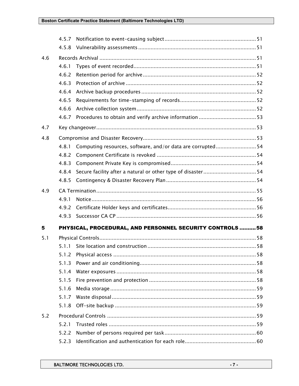|     | 4.5.7 |                                                             |  |
|-----|-------|-------------------------------------------------------------|--|
|     | 4.5.8 |                                                             |  |
| 4.6 |       |                                                             |  |
|     | 4.6.1 |                                                             |  |
|     | 4.6.2 |                                                             |  |
|     | 4.6.3 |                                                             |  |
|     | 4.6.4 |                                                             |  |
|     | 4.6.5 |                                                             |  |
|     | 4.6.6 |                                                             |  |
|     | 4.6.7 |                                                             |  |
| 4.7 |       |                                                             |  |
| 4.8 |       |                                                             |  |
|     | 4.8.1 | Computing resources, software, and/or data are corrupted 54 |  |
|     | 4.8.2 |                                                             |  |
|     | 4.8.3 |                                                             |  |
|     | 4.8.4 |                                                             |  |
|     | 4.8.5 |                                                             |  |
| 4.9 |       |                                                             |  |
|     | 4.9.1 |                                                             |  |
|     | 4.9.2 |                                                             |  |
|     | 4.9.3 |                                                             |  |
| 5   |       | PHYSICAL, PROCEDURAL, AND PERSONNEL SECURITY CONTROLS  58   |  |
| 5.1 |       |                                                             |  |
|     |       |                                                             |  |
|     |       |                                                             |  |
|     | 5.1.3 |                                                             |  |
|     | 5.1.4 |                                                             |  |
|     | 5.1.5 |                                                             |  |
|     | 5.1.6 |                                                             |  |
|     | 5.1.7 |                                                             |  |
|     | 5.1.8 |                                                             |  |
| 5.2 |       |                                                             |  |
|     | 5.2.1 |                                                             |  |
|     | 5.2.2 |                                                             |  |
|     | 5.2.3 |                                                             |  |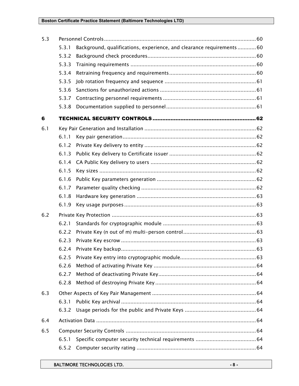| 5.3 |       |                                                                      |  |  |
|-----|-------|----------------------------------------------------------------------|--|--|
|     | 5.3.1 | Background, qualifications, experience, and clearance requirements60 |  |  |
|     | 5.3.2 |                                                                      |  |  |
|     | 5.3.3 |                                                                      |  |  |
|     | 5.3.4 |                                                                      |  |  |
|     | 5.3.5 |                                                                      |  |  |
|     | 5.3.6 |                                                                      |  |  |
|     | 5.3.7 |                                                                      |  |  |
|     | 5.3.8 |                                                                      |  |  |
| 6   |       |                                                                      |  |  |
| 6.1 |       |                                                                      |  |  |
|     | 6.1.1 |                                                                      |  |  |
|     | 6.1.2 |                                                                      |  |  |
|     | 6.1.3 |                                                                      |  |  |
|     | 6.1.4 |                                                                      |  |  |
|     | 6.1.5 |                                                                      |  |  |
|     | 6.1.6 |                                                                      |  |  |
|     | 6.1.7 |                                                                      |  |  |
|     | 6.1.8 |                                                                      |  |  |
|     | 6.1.9 |                                                                      |  |  |
| 6.2 |       |                                                                      |  |  |
|     | 6.2.1 |                                                                      |  |  |
|     | 6.2.2 |                                                                      |  |  |
|     | 6.2.3 |                                                                      |  |  |
|     | 6.2.4 |                                                                      |  |  |
|     | 6.2.5 |                                                                      |  |  |
|     | 6.2.6 |                                                                      |  |  |
|     | 6.2.7 |                                                                      |  |  |
|     | 6.2.8 |                                                                      |  |  |
| 6.3 |       |                                                                      |  |  |
|     | 6.3.1 |                                                                      |  |  |
|     | 6.3.2 |                                                                      |  |  |
| 6.4 |       |                                                                      |  |  |
| 6.5 |       |                                                                      |  |  |
|     | 6.5.1 |                                                                      |  |  |
|     | 6.5.2 |                                                                      |  |  |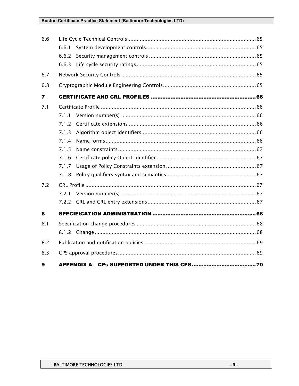| 6.6                     |       |  |
|-------------------------|-------|--|
|                         | 6.6.1 |  |
|                         | 6.6.2 |  |
|                         | 6.6.3 |  |
| 6.7                     |       |  |
| 6.8                     |       |  |
| $\overline{\mathbf{r}}$ |       |  |
| 7.1                     |       |  |
|                         | 7.1.1 |  |
|                         | 7.1.2 |  |
|                         | 7.1.3 |  |
|                         | 7.1.4 |  |
|                         | 7.1.5 |  |
|                         | 7.1.6 |  |
|                         | 7.1.7 |  |
|                         | 7.1.8 |  |
| 7.2                     |       |  |
|                         |       |  |
|                         | 7.2.2 |  |
| 8                       |       |  |
| 8.1                     |       |  |
|                         |       |  |
| 8.2                     |       |  |
| 8.3                     |       |  |
| 9                       |       |  |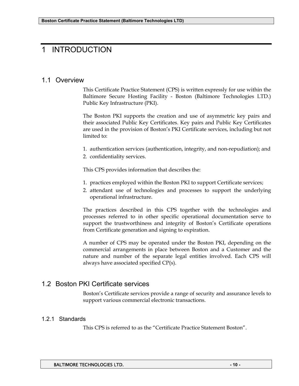# 1 INTRODUCTION

## 1.1 Overview

This Certificate Practice Statement (CPS) is written expressly for use within the Baltimore Secure Hosting Facility - Boston (Baltimore Technologies LTD.) Public Key Infrastructure (PKI).

The Boston PKI supports the creation and use of asymmetric key pairs and their associated Public Key Certificates. Key pairs and Public Key Certificates are used in the provision of Boston's PKI Certificate services, including but not limited to:

1. authentication services (authentication, integrity, and non-repudiation); and

2. confidentiality services.

This CPS provides information that describes the:

- 1. practices employed within the Boston PKI to support Certificate services;
- 2. attendant use of technologies and processes to support the underlying operational infrastructure.

The practices described in this CPS together with the technologies and processes referred to in other specific operational documentation serve to support the trustworthiness and integrity of Boston's Certificate operations from Certificate generation and signing to expiration.

A number of CPS may be operated under the Boston PKI, depending on the commercial arrangements in place between Boston and a Customer and the nature and number of the separate legal entities involved. Each CPS will always have associated specified CP(s).

# 1.2 Boston PKI Certificate services

Boston's Certificate services provide a range of security and assurance levels to support various commercial electronic transactions.

## 1.2.1 Standards

This CPS is referred to as the "Certificate Practice Statement Boston".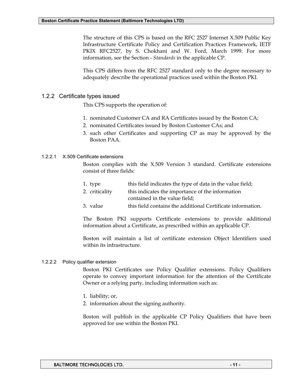The structure of this CPS is based on the RFC 2527 Internet X.509 Public Key Infrastructure Certificate Policy and Certification Practices Framework, IETF PKIX RFC2527, by S. Chokhani and W. Ford, March 1999. For more information, see the Section - *Standards* in the applicable CP.

This CPS differs from the RFC 2527 standard only to the degree necessary to adequately describe the operational practices used within the Boston PKI.

#### 1.2.2 Certificate types issued

This CPS supports the operation of:

- 1. nominated Customer CA and RA Certificates issued by the Boston CA;
- 2. nominated Certificates issued by Boston Customer CAs; and
- 3. such other Certificates and supporting CP as may be approved by the Boston PAA.

#### 1.2.2.1 X.509 Certificate extensions

Boston complies with the X.509 Version 3 standard. Certificate extensions consist of three fields:

| 1. type        | this field indicates the type of data in the value field; |
|----------------|-----------------------------------------------------------|
| 2. criticality | this indicates the importance of the information          |
|                | contained in the value field;                             |

3. value this field contains the additional Certificate information.

The Boston PKI supports Certificate extensions to provide additional information about a Certificate, as prescribed within an applicable CP.

Boston will maintain a list of certificate extension Object Identifiers used within its infrastructure.

#### 1.2.2.2 Policy qualifier extension

Boston PKI Certificates use Policy Qualifier extensions. Policy Qualifiers operate to convey important information for the attention of the Certificate Owner or a relying party, including information such as:

- 1. liability; or,
- 2. information about the signing authority.

Boston will publish in the applicable CP Policy Qualifiers that have been approved for use within the Boston PKI.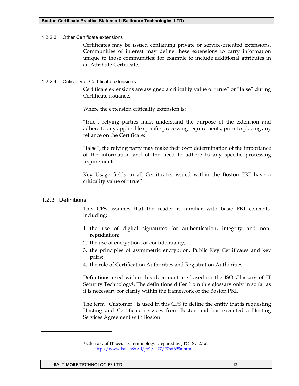#### 1.2.2.3 Other Certificate extensions

Certificates may be issued containing private or service-oriented extensions. Communities of interest may define these extensions to carry information unique to those communities; for example to include additional attributes in an Attribute Certificate.

#### 1.2.2.4 Criticality of Certificate extensions

Certificate extensions are assigned a criticality value of "true" or "false" during Certificate issuance.

Where the extension criticality extension is:

"true", relying parties must understand the purpose of the extension and adhere to any applicable specific processing requirements, prior to placing any reliance on the Certificate;

"false", the relying party may make their own determination of the importance of the information and of the need to adhere to any specific processing requirements.

Key Usage fields in all Certificates issued within the Boston PKI have a criticality value of "true".

## 1.2.3 Definitions

-

This CPS assumes that the reader is familiar with basic PKI concepts, including:

- 1. the use of digital signatures for authentication, integrity and nonrepudiation;
- 2. the use of encryption for confidentiality;
- 3. the principles of asymmetric encryption, Public Key Certificates and key pairs;
- 4. the role of Certification Authorities and Registration Authorities.

Definitions used within this document are based on the ISO Glossary of IT Security Technology1. The definitions differ from this glossary only in so far as it is necessary for clarity within the framework of the Boston PKI.

The term "Customer" is used in this CPS to define the entity that is requesting Hosting and Certificate services from Boston and has executed a Hosting Services Agreement with Boston.

<sup>1</sup> Glossary of IT security terminology prepared by JTC1 SC 27 at http://www.iso.ch:8080/jtc1/sc27/27sd698a.htm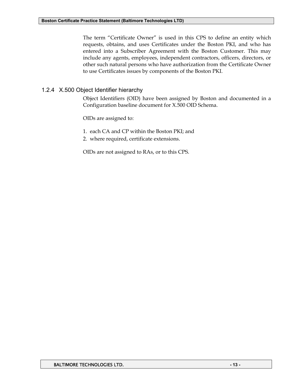The term "Certificate Owner" is used in this CPS to define an entity which requests, obtains, and uses Certificates under the Boston PKI, and who has entered into a Subscriber Agreement with the Boston Customer. This may include any agents, employees, independent contractors, officers, directors, or other such natural persons who have authorization from the Certificate Owner to use Certificates issues by components of the Boston PKI.

## 1.2.4 X.500 Object Identifier hierarchy

Object Identifiers (OID) have been assigned by Boston and documented in a Configuration baseline document for X.500 OID Schema.

OIDs are assigned to:

- 1. each CA and CP within the Boston PKI; and
- 2. where required, certificate extensions.

OIDs are not assigned to RAs, or to this CPS.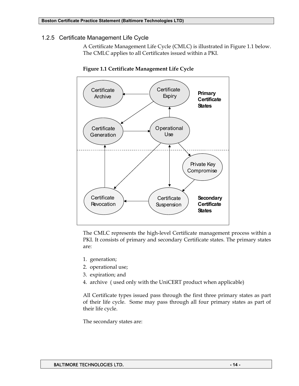## 1.2.5 Certificate Management Life Cycle

A Certificate Management Life Cycle (CMLC) is illustrated in Figure 1.1 below. The CMLC applies to all Certificates issued within a PKI.



**Figure 1.1 Certificate Management Life Cycle** 

The CMLC represents the high-level Certificate management process within a PKI. It consists of primary and secondary Certificate states. The primary states are:

- 1. generation;
- 2. operational use;
- 3. expiration; and
- 4. archive ( used only with the UniCERT product when applicable)

All Certificate types issued pass through the first three primary states as part of their life cycle. Some may pass through all four primary states as part of their life cycle.

The secondary states are: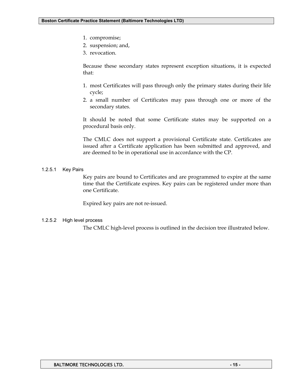- 1. compromise;
- 2. suspension; and,
- 3. revocation.

Because these secondary states represent exception situations, it is expected that:

- 1. most Certificates will pass through only the primary states during their life cycle;
- 2. a small number of Certificates may pass through one or more of the secondary states.

It should be noted that some Certificate states may be supported on a procedural basis only.

The CMLC does not support a provisional Certificate state. Certificates are issued after a Certificate application has been submitted and approved, and are deemed to be in operational use in accordance with the CP.

#### 1.2.5.1 Key Pairs

Key pairs are bound to Certificates and are programmed to expire at the same time that the Certificate expires. Key pairs can be registered under more than one Certificate.

Expired key pairs are not re-issued.

#### 1.2.5.2 High level process

The CMLC high-level process is outlined in the decision tree illustrated below.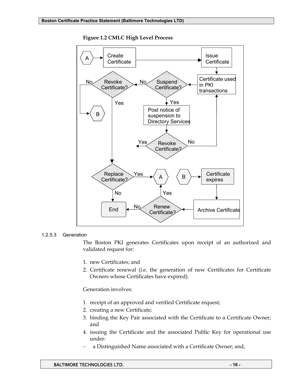

**Figure 1.2 CMLC High Level Process** 

#### 1.2.5.3 Generation

The Boston PKI generates Certificates upon receipt of an authorized and validated request for:

- 1. new Certificates; and
- 2. Certificate renewal (i.e. the generation of new Certificates for Certificate Owners whose Certificates have expired).

Generation involves:

- 1. receipt of an approved and verified Certificate request;
- 2. creating a new Certificate;
- 3. binding the Key Pair associated with the Certificate to a Certificate Owner; and
- 4. issuing the Certificate and the associated Public Key for operational use under:
- − a Distinguished Name associated with a Certificate Owner; and,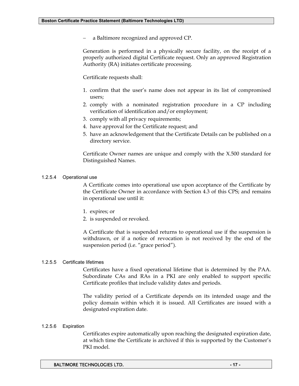− a Baltimore recognized and approved CP.

Generation is performed in a physically secure facility, on the receipt of a properly authorized digital Certificate request. Only an approved Registration Authority (RA) initiates certificate processing.

Certificate requests shall:

- 1. confirm that the user's name does not appear in its list of compromised users;
- 2. comply with a nominated registration procedure in a CP including verification of identification and/or employment;
- 3. comply with all privacy requirements;
- 4. have approval for the Certificate request; and
- 5. have an acknowledgement that the Certificate Details can be published on a directory service.

Certificate Owner names are unique and comply with the X.500 standard for Distinguished Names.

#### 1.2.5.4 Operational use

A Certificate comes into operational use upon acceptance of the Certificate by the Certificate Owner in accordance with Section 4.3 of this CPS; and remains in operational use until it:

- 1. expires; or
- 2. is suspended or revoked.

A Certificate that is suspended returns to operational use if the suspension is withdrawn, or if a notice of revocation is not received by the end of the suspension period (i.e. "grace period").

#### 1.2.5.5 Certificate lifetimes

Certificates have a fixed operational lifetime that is determined by the PAA. Subordinate CAs and RAs in a PKI are only enabled to support specific Certificate profiles that include validity dates and periods.

The validity period of a Certificate depends on its intended usage and the policy domain within which it is issued. All Certificates are issued with a designated expiration date.

#### 1.2.5.6 Expiration

Certificates expire automatically upon reaching the designated expiration date, at which time the Certificate is archived if this is supported by the Customer's PKI model.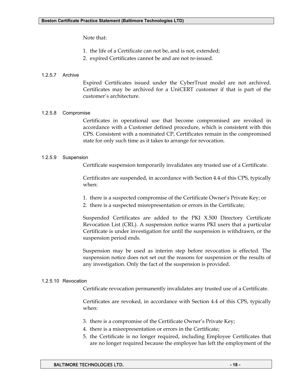#### Note that:

- 1. the life of a Certificate can not be, and is not, extended;
- 2. expired Certificates cannot be and are not re-issued.

#### 1.2.5.7 Archive

Expired Certificates issued under the CyberTrust model are not archived. Certificates may be archived for a UniCERT customer if that is part of the customer's architecture.

#### 1.2.5.8 Compromise

Certificates in operational use that become compromised are revoked in accordance with a Customer defined procedure, which is consistent with this CPS. Consistent with a nominated CP, Certificates remain in the compromised state for only such time as it takes to arrange for revocation.

#### 1.2.5.9 Suspension

Certificate suspension temporarily invalidates any trusted use of a Certificate.

Certificates are suspended, in accordance with Section 4.4 of this CPS, typically when:

- 1. there is a suspected compromise of the Certificate Owner's Private Key; or
- 2. there is a suspected misrepresentation or errors in the Certificate;

Suspended Certificates are added to the PKI X.500 Directory Certificate Revocation List (CRL). A suspension notice warns PKI users that a particular Certificate is under investigation for until the suspension is withdrawn, or the suspension period ends.

Suspension may be used as interim step before revocation is effected. The suspension notice does not set out the reasons for suspension or the results of any investigation. Only the fact of the suspension is provided.

#### 1.2.5.10 Revocation

Certificate revocation permanently invalidates any trusted use of a Certificate.

Certificates are revoked, in accordance with Section 4.4 of this CPS, typically when:

- 3. there is a compromise of the Certificate Owner's Private Key;
- 4. there is a misrepresentation or errors in the Certificate;
- 5. the Certificate is no longer required, including Employee Certificates that are no longer required because the employee has left the employment of the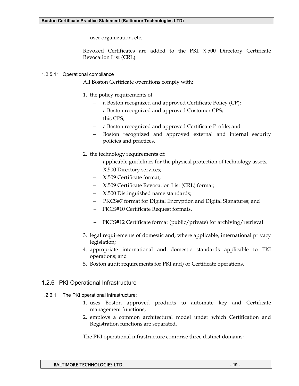user organization, etc.

Revoked Certificates are added to the PKI X.500 Directory Certificate Revocation List (CRL).

#### 1.2.5.11 Operational compliance

All Boston Certificate operations comply with:

- 1. the policy requirements of:
	- a Boston recognized and approved Certificate Policy (CP);
	- − a Boston recognized and approved Customer CPS;
	- − this CPS;
	- − a Boston recognized and approved Certificate Profile; and
	- Boston recognized and approved external and internal security policies and practices.
- 2. the technology requirements of:
	- applicable guidelines for the physical protection of technology assets;
	- − X.500 Directory services;
	- − X.509 Certificate format;
	- − X.509 Certificate Revocation List (CRL) format;
	- − X.500 Distinguished name standards;
	- − PKCS#7 format for Digital Encryption and Digital Signatures; and
	- − PKCS#10 Certificate Request formats.
	- − PKCS#12 Certificate format (public/private) for archiving/retrieval
- 3. legal requirements of domestic and, where applicable, international privacy legislation;
- 4. appropriate international and domestic standards applicable to PKI operations; and
- 5. Boston audit requirements for PKI and/or Certificate operations.

#### 1.2.6 PKI Operational Infrastructure

- 1.2.6.1 The PKI operational infrastructure:
	- 1. uses Boston approved products to automate key and Certificate management functions;
	- 2. employs a common architectural model under which Certification and Registration functions are separated.

The PKI operational infrastructure comprise three distinct domains: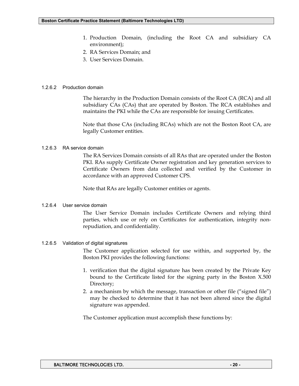- 1. Production Domain, (including the Root CA and subsidiary CA environment);
- 2. RA Services Domain; and
- 3. User Services Domain.

#### 1.2.6.2 Production domain

The hierarchy in the Production Domain consists of the Root CA (RCA) and all subsidiary CAs (CAs) that are operated by Boston. The RCA establishes and maintains the PKI while the CAs are responsible for issuing Certificates.

Note that those CAs (including RCAs) which are not the Boston Root CA, are legally Customer entities.

#### 1.2.6.3 RA service domain

The RA Services Domain consists of all RAs that are operated under the Boston PKI. RAs supply Certificate Owner registration and key generation services to Certificate Owners from data collected and verified by the Customer in accordance with an approved Customer CPS.

Note that RAs are legally Customer entities or agents.

#### 1.2.6.4 User service domain

The User Service Domain includes Certificate Owners and relying third parties, which use or rely on Certificates for authentication, integrity nonrepudiation, and confidentiality.

#### 1.2.6.5 Validation of digital signatures

The Customer application selected for use within, and supported by, the Boston PKI provides the following functions:

- 1. verification that the digital signature has been created by the Private Key bound to the Certificate listed for the signing party in the Boston X.500 Directory;
- 2. a mechanism by which the message, transaction or other file ("signed file") may be checked to determine that it has not been altered since the digital signature was appended.

The Customer application must accomplish these functions by: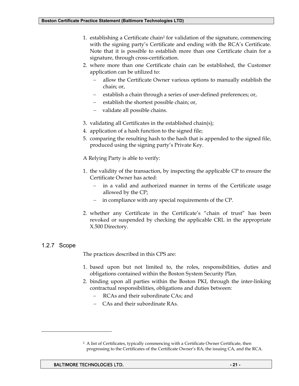- 1. establishing a Certificate chain2 for validation of the signature, commencing with the signing party's Certificate and ending with the RCA's Certificate. Note that it is possible to establish more than one Certificate chain for a signature, through cross-certification.
- 2. where more than one Certificate chain can be established, the Customer application can be utilized to:
	- allow the Certificate Owner various options to manually establish the chain; or,
	- − establish a chain through a series of user-defined preferences; or,
	- − establish the shortest possible chain; or,
	- − validate all possible chains.
- 3. validating all Certificates in the established chain(s);
- 4. application of a hash function to the signed file;
- 5. comparing the resulting hash to the hash that is appended to the signed file, produced using the signing party's Private Key.

A Relying Party is able to verify:

- 1. the validity of the transaction, by inspecting the applicable CP to ensure the Certificate Owner has acted:
	- in a valid and authorized manner in terms of the Certificate usage allowed by the CP;
	- in compliance with any special requirements of the CP.
- 2. whether any Certificate in the Certificate's "chain of trust" has been revoked or suspended by checking the applicable CRL in the appropriate X.500 Directory.

#### 1.2.7 Scope

-

The practices described in this CPS are:

- 1. based upon but not limited to, the roles, responsibilities, duties and obligations contained within the Boston System Security Plan;
- 2. binding upon all parties within the Boston PKI, through the inter-linking contractual responsibilities, obligations and duties between:
	- RCAs and their subordinate CAs; and
	- CAs and their subordinate RAs.

<sup>2</sup> A list of Certificates, typically commencing with a Certificate Owner Certificate, then progressing to the Certificates of the Certificate Owner's RA, the issuing CA, and the RCA.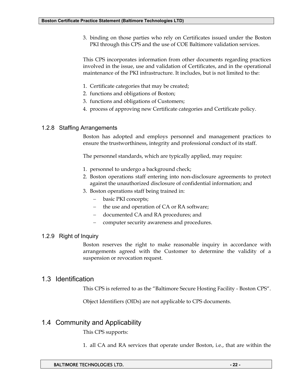3. binding on those parties who rely on Certificates issued under the Boston PKI through this CPS and the use of COE Baltimore validation services.

This CPS incorporates information from other documents regarding practices involved in the issue, use and validation of Certificates, and in the operational maintenance of the PKI infrastructure. It includes, but is not limited to the:

- 1. Certificate categories that may be created;
- 2. functions and obligations of Boston;
- 3. functions and obligations of Customers;
- 4. process of approving new Certificate categories and Certificate policy.

## 1.2.8 Staffing Arrangements

Boston has adopted and employs personnel and management practices to ensure the trustworthiness, integrity and professional conduct of its staff.

The personnel standards, which are typically applied, may require:

- 1. personnel to undergo a background check;
- 2. Boston operations staff entering into non-disclosure agreements to protect against the unauthorized disclosure of confidential information; and
- 3. Boston operations staff being trained in:
	- − basic PKI concepts;
	- − the use and operation of CA or RA software;
	- − documented CA and RA procedures; and
	- − computer security awareness and procedures.

## 1.2.9 Right of Inquiry

Boston reserves the right to make reasonable inquiry in accordance with arrangements agreed with the Customer to determine the validity of a suspension or revocation request.

## 1.3 Identification

This CPS is referred to as the "Baltimore Secure Hosting Facility - Boston CPS".

Object Identifiers (OIDs) are not applicable to CPS documents.

# 1.4 Community and Applicability

This CPS supports:

1. all CA and RA services that operate under Boston, i.e., that are within the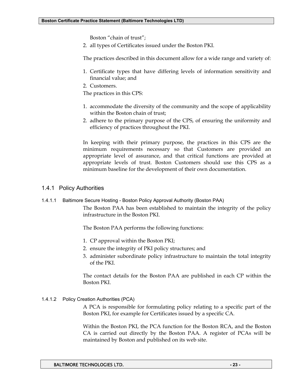Boston "chain of trust";

2. all types of Certificates issued under the Boston PKI.

The practices described in this document allow for a wide range and variety of:

- 1. Certificate types that have differing levels of information sensitivity and financial value; and
- 2. Customers.

The practices in this CPS:

- 1. accommodate the diversity of the community and the scope of applicability within the Boston chain of trust;
- 2. adhere to the primary purpose of the CPS, of ensuring the uniformity and efficiency of practices throughout the PKI.

In keeping with their primary purpose, the practices in this CPS are the minimum requirements necessary so that Customers are provided an appropriate level of assurance, and that critical functions are provided at appropriate levels of trust. Boston Customers should use this CPS as a minimum baseline for the development of their own documentation.

#### 1.4.1 Policy Authorities

1.4.1.1 Baltimore Secure Hosting - Boston Policy Approval Authority (Boston PAA)

The Boston PAA has been established to maintain the integrity of the policy infrastructure in the Boston PKI.

The Boston PAA performs the following functions:

- 1. CP approval within the Boston PKI;
- 2. ensure the integrity of PKI policy structures; and
- 3. administer subordinate policy infrastructure to maintain the total integrity of the PKI.

The contact details for the Boston PAA are published in each CP within the Boston PKI.

1.4.1.2 Policy Creation Authorities (PCA)

A PCA is responsible for formulating policy relating to a specific part of the Boston PKI, for example for Certificates issued by a specific CA.

Within the Boston PKI, the PCA function for the Boston RCA, and the Boston CA is carried out directly by the Boston PAA. A register of PCAs will be maintained by Boston and published on its web site.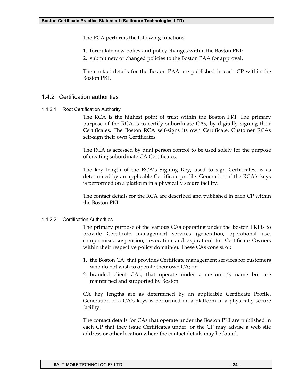The PCA performs the following functions:

- 1. formulate new policy and policy changes within the Boston PKI;
- 2. submit new or changed policies to the Boston PAA for approval.

The contact details for the Boston PAA are published in each CP within the Boston PKI.

#### 1.4.2 Certification authorities

1.4.2.1 Root Certification Authority

The RCA is the highest point of trust within the Boston PKI. The primary purpose of the RCA is to certify subordinate CAs, by digitally signing their Certificates. The Boston RCA self-signs its own Certificate. Customer RCAs self-sign their own Certificates.

The RCA is accessed by dual person control to be used solely for the purpose of creating subordinate CA Certificates.

The key length of the RCA's Signing Key, used to sign Certificates, is as determined by an applicable Certificate profile. Generation of the RCA's keys is performed on a platform in a physically secure facility.

The contact details for the RCA are described and published in each CP within the Boston PKI.

#### 1.4.2.2 Certification Authorities

The primary purpose of the various CAs operating under the Boston PKI is to provide Certificate management services (generation, operational use, compromise, suspension, revocation and expiration) for Certificate Owners within their respective policy domain(s). These CAs consist of:

- 1. the Boston CA, that provides Certificate management services for customers who do not wish to operate their own CA; or
- 2. branded client CAs, that operate under a customer's name but are maintained and supported by Boston.

CA key lengths are as determined by an applicable Certificate Profile. Generation of a CA's keys is performed on a platform in a physically secure facility.

The contact details for CAs that operate under the Boston PKI are published in each CP that they issue Certificates under, or the CP may advise a web site address or other location where the contact details may be found.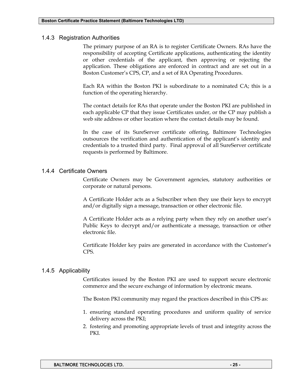#### 1.4.3 Registration Authorities

The primary purpose of an RA is to register Certificate Owners. RAs have the responsibility of accepting Certificate applications, authenticating the identity or other credentials of the applicant, then approving or rejecting the application. These obligations are enforced in contract and are set out in a Boston Customer's CPS, CP, and a set of RA Operating Procedures.

Each RA within the Boston PKI is subordinate to a nominated CA; this is a function of the operating hierarchy.

The contact details for RAs that operate under the Boston PKI are published in each applicable CP that they issue Certificates under, or the CP may publish a web site address or other location where the contact details may be found.

In the case of its SureServer certificate offering, Baltimore Technologies outsources the verification and authentication of the applicant's identity and credentials to a trusted third party. Final approval of all SureServer certificate requests is performed by Baltimore.

#### 1.4.4 Certificate Owners

Certificate Owners may be Government agencies, statutory authorities or corporate or natural persons.

A Certificate Holder acts as a Subscriber when they use their keys to encrypt and/or digitally sign a message, transaction or other electronic file.

A Certificate Holder acts as a relying party when they rely on another user's Public Keys to decrypt and/or authenticate a message, transaction or other electronic file.

Certificate Holder key pairs are generated in accordance with the Customer's CPS.

#### 1.4.5 Applicability

Certificates issued by the Boston PKI are used to support secure electronic commerce and the secure exchange of information by electronic means.

The Boston PKI community may regard the practices described in this CPS as:

- 1. ensuring standard operating procedures and uniform quality of service delivery across the PKI;
- 2. fostering and promoting appropriate levels of trust and integrity across the PKI.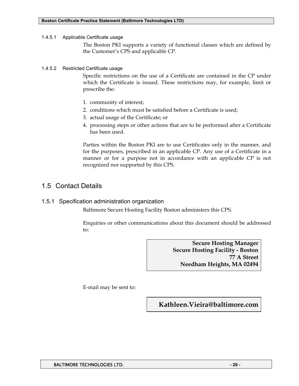1.4.5.1 Applicable Certificate usage

The Boston PKI supports a variety of functional classes which are defined by the Customer's CPS and applicable CP.

1.4.5.2 Restricted Certificate usage

Specific restrictions on the use of a Certificate are contained in the CP under which the Certificate is issued. These restrictions may, for example, limit or prescribe the:

- 1. community of interest;
- 2. conditions which must be satisfied before a Certificate is used;
- 3. actual usage of the Certificate; or
- 4. processing steps or other actions that are to be performed after a Certificate has been used.

Parties within the Boston PKI are to use Certificates only in the manner, and for the purposes, prescribed in an applicable CP. Any use of a Certificate in a manner or for a purpose not in accordance with an applicable CP is not recognized nor supported by this CPS.

# 1.5 Contact Details

1.5.1 Specification administration organization

Baltimore Secure Hosting Facility Boston administers this CPS.

Enquiries or other communications about this document should be addressed to:

> **Secure Hosting Manager Secure Hosting Facility - Boston 77 A Street Needham Heights, MA 02494**

E-mail may be sent to:

**Kathleen.Vieira@baltimore.com**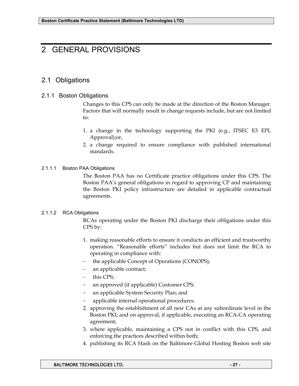# 2 GENERAL PROVISIONS

# 2.1 Obligations

### 2.1.1 Boston Obligations

Changes to this CPS can only be made at the direction of the Boston Manager. Factors that will normally result in change requests include, but are not limited to:

- 1. a change in the technology supporting the PKI (e.g., ITSEC E3 EPL Approval);or,
- 2. a change required to ensure compliance with published international standards.

#### 2.1.1.1 Boston PAA Obligations

The Boston PAA has no Certificate practice obligations under this CPS. The Boston PAA's general obligations in regard to approving CP and maintaining the Boston PKI policy infrastructure are detailed in applicable contractual agreements.

#### 2.1.1.2 RCA Obligations

RCAs operating under the Boston PKI discharge their obligations under this CPS by:

- 1. making reasonable efforts to ensure it conducts an efficient and trustworthy operation. "Reasonable efforts" includes but does not limit the RCA to operating in compliance with:
- − the applicable Concept of Operations (CONOPS);
- an applicable contract;
- − this CPS;
- an approved (if applicable) Customer CPS;
- − an applicable System Security Plan; and
- − applicable internal operational procedures.
- 2. approving the establishment of all new CAs at any subordinate level in the Boston PKI; and on approval, if applicable, executing an RCA-CA operating agreement;
- 3. where applicable, maintaining a CPS not in conflict with this CPS, and enforcing the practices described within both;
- 4. publishing its RCA Hash on the Baltimore Global Hosting Boston web site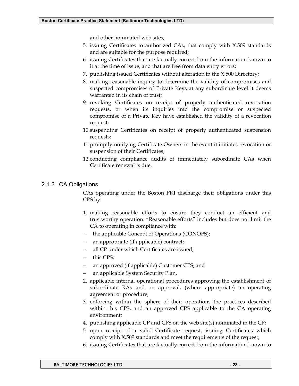and other nominated web sites;

- 5. issuing Certificates to authorized CAs, that comply with X.509 standards and are suitable for the purpose required;
- 6. issuing Certificates that are factually correct from the information known to it at the time of issue, and that are free from data entry errors;
- 7. publishing issued Certificates without alteration in the X.500 Directory;
- 8. making reasonable inquiry to determine the validity of compromises and suspected compromises of Private Keys at any subordinate level it deems warranted in its chain of trust;
- 9. revoking Certificates on receipt of properly authenticated revocation requests, or when its inquiries into the compromise or suspected compromise of a Private Key have established the validity of a revocation request;
- 10. suspending Certificates on receipt of properly authenticated suspension requests;
- 11. promptly notifying Certificate Owners in the event it initiates revocation or suspension of their Certificates;
- 12. conducting compliance audits of immediately subordinate CAs when Certificate renewal is due.

## 2.1.2 CA Obligations

CAs operating under the Boston PKI discharge their obligations under this CPS by:

- 1. making reasonable efforts to ensure they conduct an efficient and trustworthy operation. "Reasonable efforts" includes but does not limit the CA to operating in compliance with:
- the applicable Concept of Operations (CONOPS);
- an appropriate (if applicable) contract;
- all CP under which Certificates are issued;
- − this CPS;
- an approved (if applicable) Customer CPS; and
- an applicable System Security Plan.
- 2. applicable internal operational procedures approving the establishment of subordinate RAs and on approval, (where appropriate) an operating agreement or procedure;
- 3. enforcing within the sphere of their operations the practices described within this CPS, and an approved CPS applicable to the CA operating environment;
- 4. publishing applicable CP and CPS on the web site(s) nominated in the CP;
- 5. upon receipt of a valid Certificate request, issuing Certificates which comply with X.509 standards and meet the requirements of the request;
- 6. issuing Certificates that are factually correct from the information known to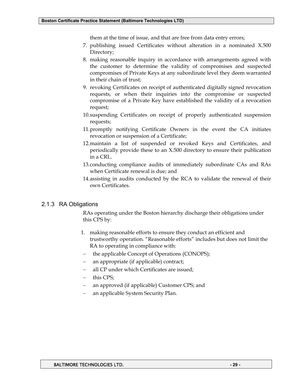them at the time of issue, and that are free from data entry errors;

- 7. publishing issued Certificates without alteration in a nominated X.500 Directory;
- 8. making reasonable inquiry in accordance with arrangements agreed with the customer to determine the validity of compromises and suspected compromises of Private Keys at any subordinate level they deem warranted in their chain of trust;
- 9. revoking Certificates on receipt of authenticated digitally signed revocation requests, or when their inquiries into the compromise or suspected compromise of a Private Key have established the validity of a revocation request;
- 10. suspending Certificates on receipt of properly authenticated suspension requests;
- 11. promptly notifying Certificate Owners in the event the CA initiates revocation or suspension of a Certificate;
- 12. maintain a list of suspended or revoked Keys and Certificates, and periodically provide these to an X.500 directory to ensure their publication in a CRL.
- 13. conducting compliance audits of immediately subordinate CAs and RAs when Certificate renewal is due; and
- 14. assisting in audits conducted by the RCA to validate the renewal of their own Certificates.

#### 2.1.3 RA Obligations

RAs operating under the Boston hierarchy discharge their obligations under this CPS by:

- 1. making reasonable efforts to ensure they conduct an efficient and trustworthy operation. "Reasonable efforts" includes but does not limit the RA to operating in compliance with:
- the applicable Concept of Operations (CONOPS);
- an appropriate (if applicable) contract;
- all CP under which Certificates are issued;
- this CPS;
- − an approved (if applicable) Customer CPS; and
- − an applicable System Security Plan.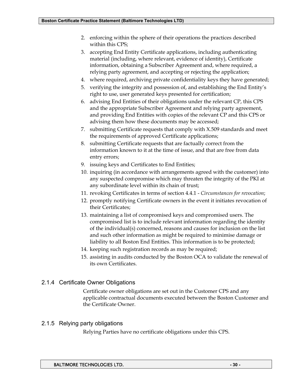- 2. enforcing within the sphere of their operations the practices described within this CPS;
- 3. accepting End Entity Certificate applications, including authenticating material (including, where relevant, evidence of identity), Certificate information, obtaining a Subscriber Agreement and, where required, a relying party agreement, and accepting or rejecting the application;
- 4. where required, archiving private confidentiality keys they have generated;
- 5. verifying the integrity and possession of, and establishing the End Entity's right to use, user generated keys presented for certification;
- 6. advising End Entities of their obligations under the relevant CP, this CPS and the appropriate Subscriber Agreement and relying party agreement, and providing End Entities with copies of the relevant CP and this CPS or advising them how these documents may be accessed;
- 7. submitting Certificate requests that comply with X.509 standards and meet the requirements of approved Certificate applications;
- 8. submitting Certificate requests that are factually correct from the information known to it at the time of issue, and that are free from data entry errors;
- 9. issuing keys and Certificates to End Entities;
- 10. inquiring (in accordance with arrangements agreed with the customer) into any suspected compromise which may threaten the integrity of the PKI at any subordinate level within its chain of trust;
- 11. revoking Certificates in terms of section 4.4.1 *Circumstances for revocation*;
- 12. promptly notifying Certificate owners in the event it initiates revocation of their Certificates;
- 13. maintaining a list of compromised keys and compromised users. The compromised list is to include relevant information regarding the identity of the individual(s) concerned, reasons and causes for inclusion on the list and such other information as might be required to minimise damage or liability to all Boston End Entities. This information is to be protected;
- 14. keeping such registration records as may be required;
- 15. assisting in audits conducted by the Boston OCA to validate the renewal of its own Certificates.

## 2.1.4 Certificate Owner Obligations

Certificate owner obligations are set out in the Customer CPS and any applicable contractual documents executed between the Boston Customer and the Certificate Owner.

## 2.1.5 Relying party obligations

Relying Parties have no certificate obligations under this CPS.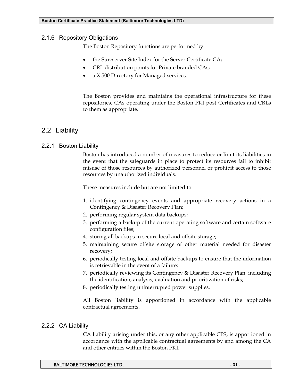#### 2.1.6 Repository Obligations

The Boston Repository functions are performed by:

- the Sureserver Site Index for the Server Certificate CA;
- CRL distribution points for Private branded CAs;
- a X.500 Directory for Managed services.

The Boston provides and maintains the operational infrastructure for these repositories. CAs operating under the Boston PKI post Certificates and CRLs to them as appropriate.

# 2.2 Liability

#### 2.2.1 Boston Liability

Boston has introduced a number of measures to reduce or limit its liabilities in the event that the safeguards in place to protect its resources fail to inhibit misuse of those resources by authorized personnel or prohibit access to those resources by unauthorized individuals.

These measures include but are not limited to:

- 1. identifying contingency events and appropriate recovery actions in a Contingency & Disaster Recovery Plan;
- 2. performing regular system data backups;
- 3. performing a backup of the current operating software and certain software configuration files;
- 4. storing all backups in secure local and offsite storage;
- 5. maintaining secure offsite storage of other material needed for disaster recovery;
- 6. periodically testing local and offsite backups to ensure that the information is retrievable in the event of a failure;
- 7. periodically reviewing its Contingency & Disaster Recovery Plan, including the identification, analysis, evaluation and prioritization of risks;
- 8. periodically testing uninterrupted power supplies.

All Boston liability is apportioned in accordance with the applicable contractual agreements.

## 2.2.2 CA Liability

CA liability arising under this, or any other applicable CPS, is apportioned in accordance with the applicable contractual agreements by and among the CA and other entities within the Boston PKI.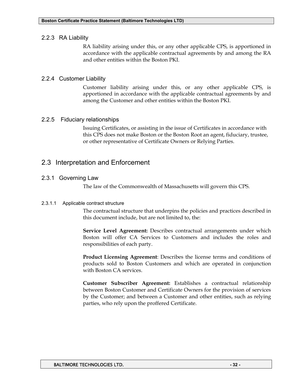## 2.2.3 RA Liability

RA liability arising under this, or any other applicable CPS, is apportioned in accordance with the applicable contractual agreements by and among the RA and other entities within the Boston PKI.

## 2.2.4 Customer Liability

Customer liability arising under this, or any other applicable CPS, is apportioned in accordance with the applicable contractual agreements by and among the Customer and other entities within the Boston PKI.

## 2.2.5 Fiduciary relationships

Issuing Certificates, or assisting in the issue of Certificates in accordance with this CPS does not make Boston or the Boston Root an agent, fiduciary, trustee, or other representative of Certificate Owners or Relying Parties.

# 2.3 Interpretation and Enforcement

## 2.3.1 Governing Law

The law of the Commonwealth of Massachusetts will govern this CPS.

#### 2.3.1.1 Applicable contract structure

The contractual structure that underpins the policies and practices described in this document include, but are not limited to, the:

**Service Level Agreement:** Describes contractual arrangements under which Boston will offer CA Services to Customers and includes the roles and responsibilities of each party.

**Product Licensing Agreement**: Describes the license terms and conditions of products sold to Boston Customers and which are operated in conjunction with Boston CA services.

**Customer Subscriber Agreement:** Establishes a contractual relationship between Boston Customer and Certificate Owners for the provision of services by the Customer; and between a Customer and other entities, such as relying parties, who rely upon the proffered Certificate.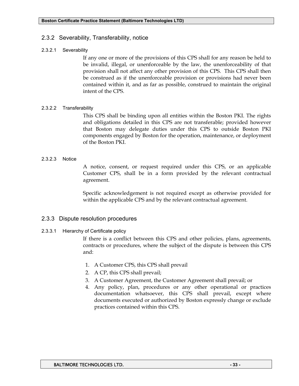### 2.3.2 Severability, Transferability, notice

#### 2.3.2.1 Severability

If any one or more of the provisions of this CPS shall for any reason be held to be invalid, illegal, or unenforceable by the law, the unenforceability of that provision shall not affect any other provision of this CPS. This CPS shall then be construed as if the unenforceable provision or provisions had never been contained within it, and as far as possible, construed to maintain the original intent of the CPS.

#### 2.3.2.2 Transferability

This CPS shall be binding upon all entities within the Boston PKI. The rights and obligations detailed in this CPS are not transferable; provided however that Boston may delegate duties under this CPS to outside Boston PKI components engaged by Boston for the operation, maintenance, or deployment of the Boston PKI.

#### 2.3.2.3 Notice

A notice, consent, or request required under this CPS, or an applicable Customer CPS, shall be in a form provided by the relevant contractual agreement.

Specific acknowledgement is not required except as otherwise provided for within the applicable CPS and by the relevant contractual agreement.

#### 2.3.3 Dispute resolution procedures

#### 2.3.3.1 Hierarchy of Certificate policy

If there is a conflict between this CPS and other policies, plans, agreements, contracts or procedures, where the subject of the dispute is between this CPS and:

- 1. A Customer CPS, this CPS shall prevail
- 2. A CP, this CPS shall prevail;
- 3. A Customer Agreement, the Customer Agreement shall prevail; or
- 4. Any policy, plan, procedures or any other operational or practices documentation whatsoever, this CPS shall prevail, except where documents executed or authorized by Boston expressly change or exclude practices contained within this CPS.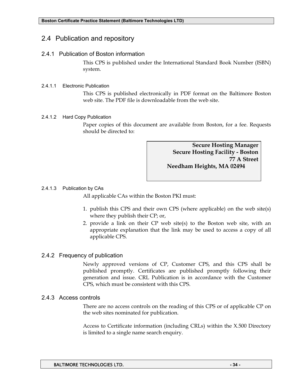## 2.4 Publication and repository

#### 2.4.1 Publication of Boston information

This CPS is published under the International Standard Book Number (ISBN) system.

#### 2.4.1.1 Electronic Publication

This CPS is published electronically in PDF format on the Baltimore Boston web site. The PDF file is downloadable from the web site.

#### 2.4.1.2 Hard Copy Publication

Paper copies of this document are available from Boston, for a fee. Requests should be directed to:

> **Secure Hosting Manager Secure Hosting Facility - Boston 77 A Street Needham Heights, MA 02494**

#### 2.4.1.3 Publication by CAs

All applicable CAs within the Boston PKI must:

- 1. publish this CPS and their own CPS (where applicable) on the web site(s) where they publish their CP; or,
- 2. provide a link on their CP web site(s) to the Boston web site, with an appropriate explanation that the link may be used to access a copy of all applicable CPS.

## 2.4.2 Frequency of publication

Newly approved versions of CP, Customer CPS, and this CPS shall be published promptly. Certificates are published promptly following their generation and issue. CRL Publication is in accordance with the Customer CPS, which must be consistent with this CPS.

#### 2.4.3 Access controls

There are no access controls on the reading of this CPS or of applicable CP on the web sites nominated for publication.

Access to Certificate information (including CRLs) within the X.500 Directory is limited to a single name search enquiry.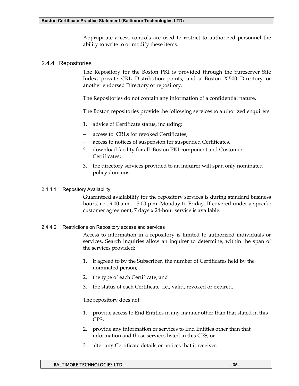Appropriate access controls are used to restrict to authorized personnel the ability to write to or modify these items.

#### 2.4.4 Repositories

The Repository for the Boston PKI is provided through the Sureserver Site Index, private CRL Distribution points, and a Boston X.500 Directory or another endorsed Directory or repository.

The Repositories do not contain any information of a confidential nature.

The Boston repositories provide the following services to authorized enquirers:

- 1. advice of Certificate status, including:
- access to CRLs for revoked Certificates;
- access to notices of suspension for suspended Certificates.
- 2. download facility for all Boston PKI component and Customer Certificates;
- 3. the directory services provided to an inquirer will span only nominated policy domains.

#### 2.4.4.1 Repository Availability

Guaranteed availability for the repository services is during standard business hours, i.e., 9:00 a.m. – 5:00 p.m. Monday to Friday. If covered under a specific customer agreement, 7 days x 24-hour service is available.

#### 2.4.4.2 Restrictions on Repository access and services

Access to information in a repository is limited to authorized individuals or services. Search inquiries allow an inquirer to determine, within the span of the services provided:

- 1. if agreed to by the Subscriber, the number of Certificates held by the nominated person;
- 2. the type of each Certificate; and
- 3. the status of each Certificate, i.e., valid, revoked or expired.

The repository does not:

- 1. provide access to End Entities in any manner other than that stated in this CPS;
- 2. provide any information or services to End Entities other than that information and those services listed in this CPS; or
- 3. alter any Certificate details or notices that it receives.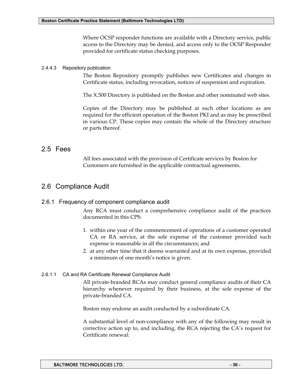Where OCSP responder functions are available with a Directory service, public access to the Directory may be denied, and access only to the OCSP Responder provided for certificate status checking purposes.

#### 2.4.4.3 Repository publication

The Boston Repository promptly publishes new Certificates and changes in Certificate status, including revocation, notices of suspension and expiration.

The X.500 Directory is published on the Boston and other nominated web sites.

Copies of the Directory may be published at such other locations as are required for the efficient operation of the Boston PKI and as may be prescribed in various CP. These copies may contain the whole of the Directory structure or parts thereof.

## 2.5 Fees

All fees associated with the provision of Certificate services by Boston for Customers are furnished in the applicable contractual agreements.

# 2.6 Compliance Audit

## 2.6.1 Frequency of component compliance audit

Any RCA must conduct a comprehensive compliance audit of the practices documented in this CPS:

- 1. within one year of the commencement of operations of a customer operated CA or RA service, at the sole expense of the customer provided such expense is reasonable in all the circumstances; and
- 2. at any other time that it deems warranted and at its own expense, provided a minimum of one month's notice is given.

#### 2.6.1.1 CA and RA Certificate Renewal Compliance Audit

All private-branded RCAs may conduct general compliance audits of their CA hierarchy whenever required by their business, at the sole expense of the private-branded CA.

Boston may endorse an audit conducted by a subordinate CA.

A substantial level of non-compliance with any of the following may result in corrective action up to, and including, the RCA rejecting the CA's request for Certificate renewal: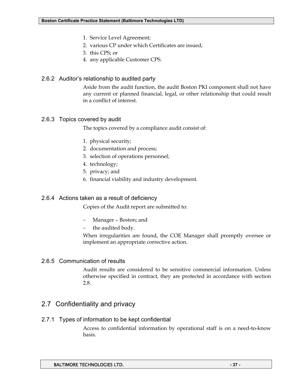- 1. Service Level Agreement;
- 2. various CP under which Certificates are issued;
- 3. this CPS; or
- 4. any applicable Customer CPS.

## 2.6.2 Auditor's relationship to audited party

Aside from the audit function, the audit Boston PKI component shall not have any current or planned financial, legal, or other relationship that could result in a conflict of interest.

## 2.6.3 Topics covered by audit

The topics covered by a compliance audit consist of:

- 1. physical security;
- 2. documentation and process;
- 3. selection of operations personnel;
- 4. technology;
- 5. privacy; and
- 6. financial viability and industry development.

## 2.6.4 Actions taken as a result of deficiency

Copies of the Audit report are submitted to:

- − Manager Boston; and
- the audited body.

When irregularities are found, the COE Manager shall promptly oversee or implement an appropriate corrective action.

## 2.6.5 Communication of results

Audit results are considered to be sensitive commercial information. Unless otherwise specified in contract, they are protected in accordance with section 2.8.

# 2.7 Confidentiality and privacy

## 2.7.1 Types of information to be kept confidential

Access to confidential information by operational staff is on a need-to-know basis.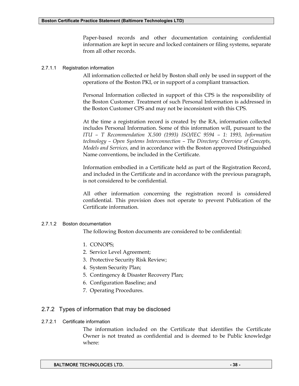Paper-based records and other documentation containing confidential information are kept in secure and locked containers or filing systems, separate from all other records.

#### 2.7.1.1 Registration information

All information collected or held by Boston shall only be used in support of the operations of the Boston PKI, or in support of a compliant transaction.

Personal Information collected in support of this CPS is the responsibility of the Boston Customer. Treatment of such Personal Information is addressed in the Boston Customer CPS and may not be inconsistent with this CPS.

At the time a registration record is created by the RA, information collected includes Personal Information. Some of this information will, pursuant to the *ITU – T Recommendation X.500 (1993) ISO/IEC 9594 – 1: 1993, Information technology – Open Systems Interconnection – The Directory: Overview of Concepts, Models and Services,* and in accordance with the Boston approved Distinguished Name conventions, be included in the Certificate.

Information embodied in a Certificate held as part of the Registration Record, and included in the Certificate and in accordance with the previous paragraph, is not considered to be confidential.

All other information concerning the registration record is considered confidential. This provision does not operate to prevent Publication of the Certificate information.

#### 2.7.1.2 Boston documentation

The following Boston documents are considered to be confidential:

- 1. CONOPS;
- 2. Service Level Agreement;
- 3. Protective Security Risk Review;
- 4. System Security Plan;
- 5. Contingency & Disaster Recovery Plan;
- 6. Configuration Baseline; and
- 7. Operating Procedures.

## 2.7.2 Types of information that may be disclosed

#### 2.7.2.1 Certificate information

The information included on the Certificate that identifies the Certificate Owner is not treated as confidential and is deemed to be Public knowledge where: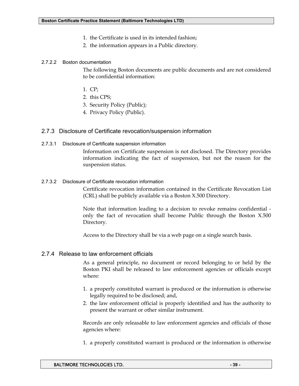- 1. the Certificate is used in its intended fashion;
- 2. the information appears in a Public directory.

#### 2.7.2.2 Boston documentation

The following Boston documents are public documents and are not considered to be confidential information:

- 1. CP;
- 2. this CPS;
- 3. Security Policy (Public);
- 4. Privacy Policy (Public).

#### 2.7.3 Disclosure of Certificate revocation/suspension information

2.7.3.1 Disclosure of Certificate suspension information

Information on Certificate suspension is not disclosed. The Directory provides information indicating the fact of suspension, but not the reason for the suspension status.

#### 2.7.3.2 Disclosure of Certificate revocation information

Certificate revocation information contained in the Certificate Revocation List (CRL) shall be publicly available via a Boston X.500 Directory.

Note that information leading to a decision to revoke remains confidential only the fact of revocation shall become Public through the Boston X.500 Directory.

Access to the Directory shall be via a web page on a single search basis.

#### 2.7.4 Release to law enforcement officials

As a general principle, no document or record belonging to or held by the Boston PKI shall be released to law enforcement agencies or officials except where:

- 1. a properly constituted warrant is produced or the information is otherwise legally required to be disclosed; and,
- 2. the law enforcement official is properly identified and has the authority to present the warrant or other similar instrument.

Records are only releasable to law enforcement agencies and officials of those agencies where:

1. a properly constituted warrant is produced or the information is otherwise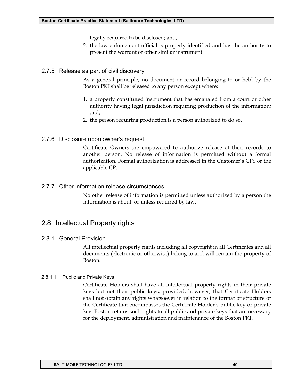legally required to be disclosed; and,

2. the law enforcement official is properly identified and has the authority to present the warrant or other similar instrument.

#### 2.7.5 Release as part of civil discovery

As a general principle, no document or record belonging to or held by the Boston PKI shall be released to any person except where:

- 1. a properly constituted instrument that has emanated from a court or other authority having legal jurisdiction requiring production of the information; and,
- 2. the person requiring production is a person authorized to do so.

#### 2.7.6 Disclosure upon owner's request

Certificate Owners are empowered to authorize release of their records to another person. No release of information is permitted without a formal authorization. Formal authorization is addressed in the Customer's CPS or the applicable CP.

#### 2.7.7 Other information release circumstances

No other release of information is permitted unless authorized by a person the information is about, or unless required by law.

# 2.8 Intellectual Property rights

## 2.8.1 General Provision

All intellectual property rights including all copyright in all Certificates and all documents (electronic or otherwise) belong to and will remain the property of Boston.

#### 2.8.1.1 Public and Private Keys

Certificate Holders shall have all intellectual property rights in their private keys but not their public keys; provided, however, that Certificate Holders shall not obtain any rights whatsoever in relation to the format or structure of the Certificate that encompasses the Certificate Holder's public key or private key. Boston retains such rights to all public and private keys that are necessary for the deployment, administration and maintenance of the Boston PKI.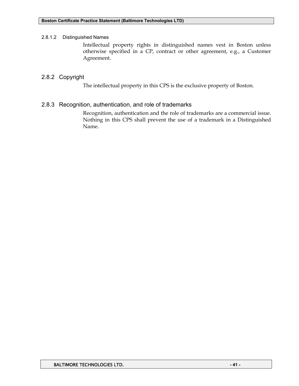#### 2.8.1.2 Distinguished Names

Intellectual property rights in distinguished names vest in Boston unless otherwise specified in a CP, contract or other agreement, e.g., a Customer Agreement.

#### 2.8.2 Copyright

The intellectual property in this CPS is the exclusive property of Boston.

#### 2.8.3 Recognition, authentication, and role of trademarks

Recognition, authentication and the role of trademarks are a commercial issue. Nothing in this CPS shall prevent the use of a trademark in a Distinguished Name.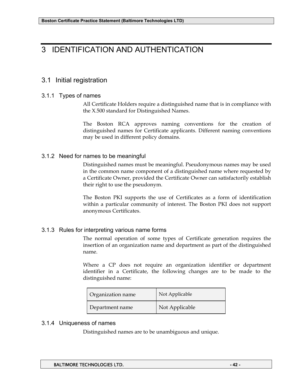# 3 IDENTIFICATION AND AUTHENTICATION

# 3.1 Initial registration

#### 3.1.1 Types of names

All Certificate Holders require a distinguished name that is in compliance with the X.500 standard for Distinguished Names.

The Boston RCA approves naming conventions for the creation of distinguished names for Certificate applicants. Different naming conventions may be used in different policy domains.

## 3.1.2 Need for names to be meaningful

Distinguished names must be meaningful. Pseudonymous names may be used in the common name component of a distinguished name where requested by a Certificate Owner, provided the Certificate Owner can satisfactorily establish their right to use the pseudonym.

The Boston PKI supports the use of Certificates as a form of identification within a particular community of interest. The Boston PKI does not support anonymous Certificates.

## 3.1.3 Rules for interpreting various name forms

The normal operation of some types of Certificate generation requires the insertion of an organization name and department as part of the distinguished name.

Where a CP does not require an organization identifier or department identifier in a Certificate, the following changes are to be made to the distinguished name:

| Organization name | Not Applicable |  |  |
|-------------------|----------------|--|--|
| Department name   | Not Applicable |  |  |

## 3.1.4 Uniqueness of names

Distinguished names are to be unambiguous and unique.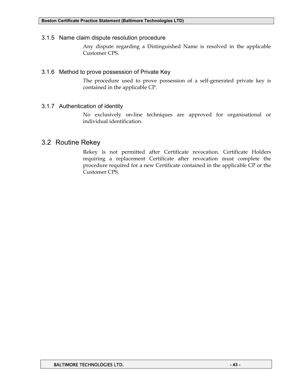3.1.5 Name claim dispute resolution procedure

Any dispute regarding a Distinguished Name is resolved in the applicable Customer CPS.

#### 3.1.6 Method to prove possession of Private Key

The procedure used to prove possession of a self-generated private key is contained in the applicable CP.

#### 3.1.7 Authentication of identity

No exclusively on-line techniques are approved for organisational or individual identification.

## 3.2 Routine Rekey

Rekey is not permitted after Certificate revocation. Certificate Holders requiring a replacement Certificate after revocation must complete the procedure required for a new Certificate contained in the applicable CP or the Customer CPS.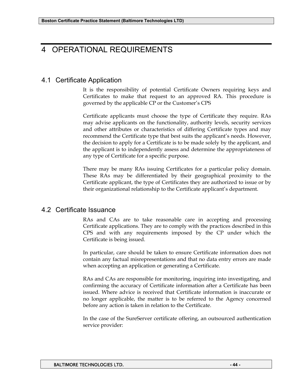# 4 OPERATIONAL REQUIREMENTS

# 4.1 Certificate Application

It is the responsibility of potential Certificate Owners requiring keys and Certificates to make that request to an approved RA. This procedure is governed by the applicable CP or the Customer's CPS

Certificate applicants must choose the type of Certificate they require. RAs may advise applicants on the functionality, authority levels, security services and other attributes or characteristics of differing Certificate types and may recommend the Certificate type that best suits the applicant's needs. However, the decision to apply for a Certificate is to be made solely by the applicant, and the applicant is to independently assess and determine the appropriateness of any type of Certificate for a specific purpose.

There may be many RAs issuing Certificates for a particular policy domain. These RAs may be differentiated by their geographical proximity to the Certificate applicant, the type of Certificates they are authorized to issue or by their organizational relationship to the Certificate applicant's department.

# 4.2 Certificate Issuance

RAs and CAs are to take reasonable care in accepting and processing Certificate applications. They are to comply with the practices described in this CPS and with any requirements imposed by the CP under which the Certificate is being issued.

In particular, care should be taken to ensure Certificate information does not contain any factual misrepresentations and that no data entry errors are made when accepting an application or generating a Certificate.

RAs and CAs are responsible for monitoring, inquiring into investigating, and confirming the accuracy of Certificate information after a Certificate has been issued. Where advice is received that Certificate information is inaccurate or no longer applicable, the matter is to be referred to the Agency concerned before any action is taken in relation to the Certificate.

In the case of the SureServer certificate offering, an outsourced authentication service provider: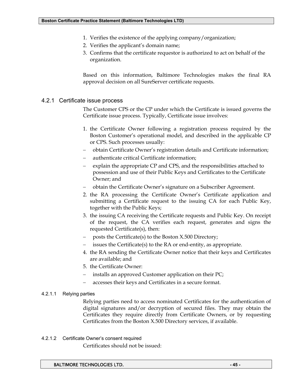- 1. Verifies the existence of the applying company/organization;
- 2. Verifies the applicant's domain name;
- 3. Confirms that the certificate requestor is authorized to act on behalf of the organization.

Based on this information, Baltimore Technologies makes the final RA approval decision on all SureServer certificate requests.

#### 4.2.1 Certificate issue process

The Customer CPS or the CP under which the Certificate is issued governs the Certificate issue process. Typically, Certificate issue involves:

- 1. the Certificate Owner following a registration process required by the Boston Customer's operational model, and described in the applicable CP or CPS. Such processes usually:
- − obtain Certificate Owner's registration details and Certificate information;
- − authenticate critical Certificate information;
- explain the appropriate CP and CPS, and the responsibilities attached to possession and use of their Public Keys and Certificates to the Certificate Owner; and
- − obtain the Certificate Owner's signature on a Subscriber Agreement.
- 2. the RA processing the Certificate Owner's Certificate application and submitting a Certificate request to the issuing CA for each Public Key, together with the Public Keys;
- 3. the issuing CA receiving the Certificate requests and Public Key. On receipt of the request, the CA verifies each request, generates and signs the requested Certificate(s), then:
- − posts the Certificate(s) to the Boston X.500 Directory;
- issues the Certificate $(s)$  to the RA or end-entity, as appropriate.
- 4. the RA sending the Certificate Owner notice that their keys and Certificates are available; and
- 5. the Certificate Owner:
- − installs an approved Customer application on their PC;
- − accesses their keys and Certificates in a secure format.

#### 4.2.1.1 Relying parties

Relying parties need to access nominated Certificates for the authentication of digital signatures and/or decryption of secured files. They may obtain the Certificates they require directly from Certificate Owners, or by requesting Certificates from the Boston X.500 Directory services, if available.

#### 4.2.1.2 Certificate Owner's consent required

Certificates should not be issued: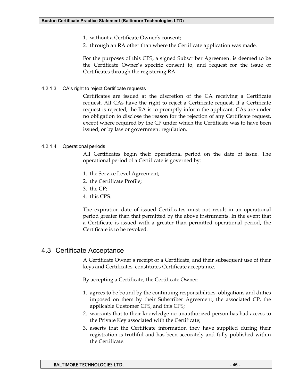- 1. without a Certificate Owner's consent;
- 2. through an RA other than where the Certificate application was made.

For the purposes of this CPS, a signed Subscriber Agreement is deemed to be the Certificate Owner's specific consent to, and request for the issue of Certificates through the registering RA.

4.2.1.3 CA's right to reject Certificate requests

Certificates are issued at the discretion of the CA receiving a Certificate request. All CAs have the right to reject a Certificate request. If a Certificate request is rejected, the RA is to promptly inform the applicant. CAs are under no obligation to disclose the reason for the rejection of any Certificate request, except where required by the CP under which the Certificate was to have been issued, or by law or government regulation.

#### 4.2.1.4 Operational periods

All Certificates begin their operational period on the date of issue. The operational period of a Certificate is governed by:

- 1. the Service Level Agreement;
- 2. the Certificate Profile;
- 3. the CP;
- 4. this CPS.

The expiration date of issued Certificates must not result in an operational period greater than that permitted by the above instruments. In the event that a Certificate is issued with a greater than permitted operational period, the Certificate is to be revoked.

## 4.3 Certificate Acceptance

A Certificate Owner's receipt of a Certificate, and their subsequent use of their keys and Certificates, constitutes Certificate acceptance.

By accepting a Certificate, the Certificate Owner:

- 1. agrees to be bound by the continuing responsibilities, obligations and duties imposed on them by their Subscriber Agreement, the associated CP, the applicable Customer CPS, and this CPS;
- 2. warrants that to their knowledge no unauthorized person has had access to the Private Key associated with the Certificate;
- 3. asserts that the Certificate information they have supplied during their registration is truthful and has been accurately and fully published within the Certificate.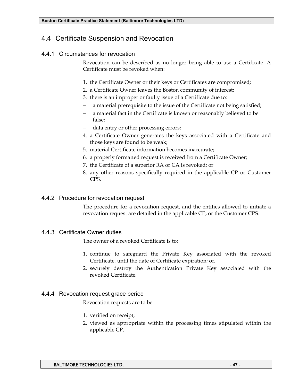# 4.4 Certificate Suspension and Revocation

## 4.4.1 Circumstances for revocation

Revocation can be described as no longer being able to use a Certificate. A Certificate must be revoked when:

- 1. the Certificate Owner or their keys or Certificates are compromised;
- 2. a Certificate Owner leaves the Boston community of interest;
- 3. there is an improper or faulty issue of a Certificate due to:
- a material prerequisite to the issue of the Certificate not being satisfied;
- a material fact in the Certificate is known or reasonably believed to be false;
- data entry or other processing errors;
- 4. a Certificate Owner generates the keys associated with a Certificate and those keys are found to be weak;
- 5. material Certificate information becomes inaccurate;
- 6. a properly formatted request is received from a Certificate Owner;
- 7. the Certificate of a superior RA or CA is revoked; or
- 8. any other reasons specifically required in the applicable CP or Customer CPS.

## 4.4.2 Procedure for revocation request

The procedure for a revocation request, and the entities allowed to initiate a revocation request are detailed in the applicable CP, or the Customer CPS.

## 4.4.3 Certificate Owner duties

The owner of a revoked Certificate is to:

- 1. continue to safeguard the Private Key associated with the revoked Certificate, until the date of Certificate expiration; or,
- 2. securely destroy the Authentication Private Key associated with the revoked Certificate.

## 4.4.4 Revocation request grace period

Revocation requests are to be:

- 1. verified on receipt;
- 2. viewed as appropriate within the processing times stipulated within the applicable CP.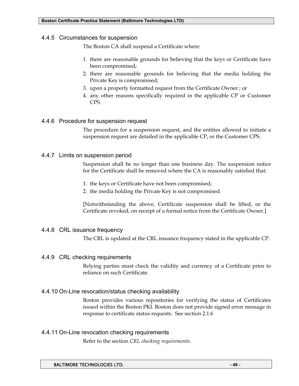#### 4.4.5 Circumstances for suspension

The Boston CA shall suspend a Certificate where:

- 1. there are reasonable grounds for believing that the keys or Certificate have been compromised;
- 2. there are reasonable grounds for believing that the media holding the Private Key is compromised;
- 3. upon a properly formatted request from the Certificate Owner ; or
- 4. any other reasons specifically required in the applicable CP or Customer CPS.

#### 4.4.6 Procedure for suspension request

The procedure for a suspension request, and the entities allowed to initiate a suspension request are detailed in the applicable CP, or the Customer CPS.

#### 4.4.7 Limits on suspension period

Suspension shall be no longer than one business day. The suspension notice for the Certificate shall be removed where the CA is reasonably satisfied that:

- 1. the keys or Certificate have not been compromised;
- 2. the media holding the Private Key is not compromised.

[Notwithstanding the above, Certificate suspension shall be lifted, or the Certificate revoked, on receipt of a formal notice from the Certificate Owner.]

## 4.4.8 CRL issuance frequency

The CRL is updated at the CRL issuance frequency stated in the applicable CP.

#### 4.4.9 CRL checking requirements

Relying parties must check the validity and currency of a Certificate prior to reliance on such Certificate.

## 4.4.10 On-Line revocation/status checking availability

Boston provides various repositories for verifying the status of Certificates issued within the Boston PKI. Boston does not provide signed error message in response to certificate status requests. See section 2.1.6

#### 4.4.11 On-Line revocation checking requirements

Refer to the section *CRL checking requirements.*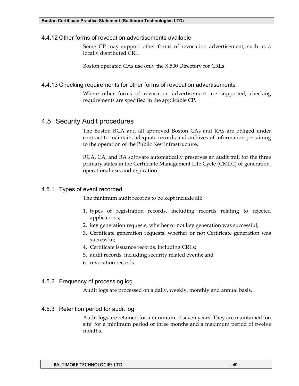#### 4.4.12 Other forms of revocation advertisements available

Some CP may support other forms of revocation advertisement, such as a locally distributed CRL.

Boston operated CAs use only the X.500 Directory for CRLs.

## 4.4.13 Checking requirements for other forms of revocation advertisements

Where other forms of revocation advertisement are supported, checking requirements are specified in the applicable CP.

# 4.5 Security Audit procedures

The Boston RCA and all approved Boston CAs and RAs are obliged under contract to maintain, adequate records and archives of information pertaining to the operation of the Public Key infrastructure.

RCA, CA, and RA software automatically preserves an audit trail for the three primary states in the Certificate Management Life Cycle (CMLC) of generation, operational use, and expiration.

## 4.5.1 Types of event recorded

The minimum audit records to be kept include all:

- 1. types of registration records, including records relating to rejected applications;
- 2. key generation requests, whether or not key generation was successful;
- 3. Certificate generation requests, whether or not Certificate generation was successful;
- 4. Certificate issuance records, including CRLs;
- 5. audit records, including security related events; and
- 6. revocation records.

## 4.5.2 Frequency of processing log

Audit logs are processed on a daily, weekly, monthly and annual basis.

## 4.5.3 Retention period for audit log

Audit logs are retained for a minimum of seven years. They are maintained 'on site' for a minimum period of three months and a maximum period of twelve months.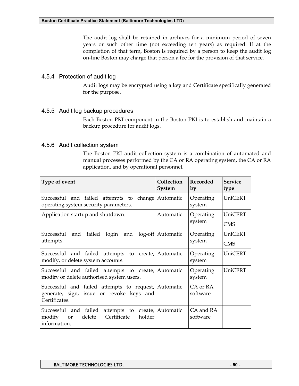The audit log shall be retained in archives for a minimum period of seven years or such other time (not exceeding ten years) as required. If at the completion of that term, Boston is required by a person to keep the audit log on-line Boston may charge that person a fee for the provision of that service.

## 4.5.4 Protection of audit log

Audit logs may be encrypted using a key and Certificate specifically generated for the purpose.

## 4.5.5 Audit log backup procedures

Each Boston PKI component in the Boston PKI is to establish and maintain a backup procedure for audit logs.

## 4.5.6 Audit collection system

The Boston PKI audit collection system is a combination of automated and manual processes performed by the CA or RA operating system, the CA or RA application, and by operational personnel.

| Type of event                                                                                                                        | Collection<br><b>System</b> | <b>Recorded</b><br>by | <b>Service</b><br>type |
|--------------------------------------------------------------------------------------------------------------------------------------|-----------------------------|-----------------------|------------------------|
| Successful and failed attempts to change Automatic<br>operating system security parameters.                                          |                             | Operating<br>system   | <b>UniCERT</b>         |
| Application startup and shutdown.                                                                                                    | Automatic                   | Operating<br>system   | UniCERT<br><b>CMS</b>  |
| Successful and failed login and log-off   Automatic<br>attempts.                                                                     |                             | Operating<br>system   | UniCERT<br><b>CMS</b>  |
| Successful and failed attempts to create, Automatic<br>modify, or delete system accounts.                                            |                             | Operating<br>system   | <b>UniCERT</b>         |
| Successful and failed attempts to create, Automatic<br>modify or delete authorised system users.                                     |                             | Operating<br>system   | UniCERT                |
| Successful and failed attempts to request, Automatic<br>generate, sign, issue or revoke keys and<br>Certificates.                    |                             | CA or RA<br>software  |                        |
| Successful and failed<br>attempts to create, Automatic<br>Certificate<br>delete<br>holder<br>modify<br><sub>or</sub><br>information. |                             | CA and RA<br>software |                        |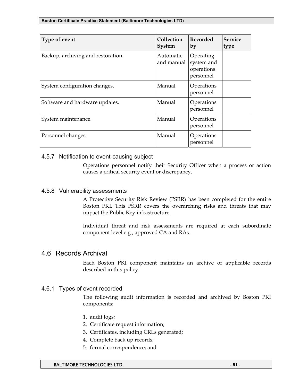| Type of event                      | Collection<br><b>System</b> | <b>Recorded</b><br>by                              | <b>Service</b><br>type |
|------------------------------------|-----------------------------|----------------------------------------------------|------------------------|
| Backup, archiving and restoration. | Automatic<br>and manual     | Operating<br>system and<br>operations<br>personnel |                        |
| System configuration changes.      | Manual                      | Operations<br>personnel                            |                        |
| Software and hardware updates.     | Manual                      | Operations<br>personnel                            |                        |
| System maintenance.                | Manual                      | Operations<br>personnel                            |                        |
| Personnel changes                  | Manual                      | Operations<br>personnel                            |                        |

#### 4.5.7 Notification to event-causing subject

Operations personnel notify their Security Officer when a process or action causes a critical security event or discrepancy.

#### 4.5.8 Vulnerability assessments

A Protective Security Risk Review (PSRR) has been completed for the entire Boston PKI. This PSRR covers the overarching risks and threats that may impact the Public Key infrastructure.

Individual threat and risk assessments are required at each subordinate component level e.g., approved CA and RAs.

## 4.6 Records Archival

Each Boston PKI component maintains an archive of applicable records described in this policy.

## 4.6.1 Types of event recorded

The following audit information is recorded and archived by Boston PKI components:

- 1. audit logs;
- 2. Certificate request information;
- 3. Certificates, including CRLs generated;
- 4. Complete back up records;
- 5. formal correspondence; and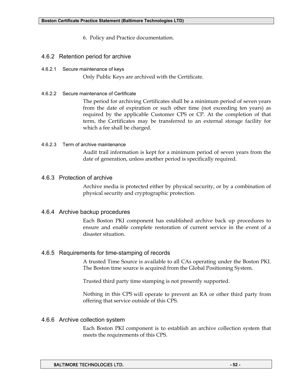- 6. Policy and Practice documentation.
- 4.6.2 Retention period for archive
- 4.6.2.1 Secure maintenance of keys

Only Public Keys are archived with the Certificate.

4.6.2.2 Secure maintenance of Certificate

The period for archiving Certificates shall be a minimum period of seven years from the date of expiration or such other time (not exceeding ten years) as required by the applicable Customer CPS or CP. At the completion of that term, the Certificates may be transferred to an external storage facility for which a fee shall be charged.

#### 4.6.2.3 Term of archive maintenance

Audit trail information is kept for a minimum period of seven years from the date of generation, unless another period is specifically required.

#### 4.6.3 Protection of archive

Archive media is protected either by physical security, or by a combination of physical security and cryptographic protection.

#### 4.6.4 Archive backup procedures

Each Boston PKI component has established archive back up procedures to ensure and enable complete restoration of current service in the event of a disaster situation.

## 4.6.5 Requirements for time-stamping of records

A trusted Time Source is available to all CAs operating under the Boston PKI. The Boston time source is acquired from the Global Positioning System.

Trusted third party time stamping is not presently supported.

Nothing in this CPS will operate to prevent an RA or other third party from offering that service outside of this CPS.

#### 4.6.6 Archive collection system

Each Boston PKI component is to establish an archive collection system that meets the requirements of this CPS.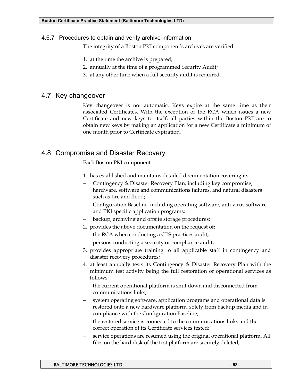### 4.6.7 Procedures to obtain and verify archive information

The integrity of a Boston PKI component's archives are verified:

- 1. at the time the archive is prepared;
- 2. annually at the time of a programmed Security Audit;
- 3. at any other time when a full security audit is required.

## 4.7 Key changeover

Key changeover is not automatic. Keys expire at the same time as their associated Certificates. With the exception of the RCA which issues a new Certificate and new keys to itself, all parties within the Boston PKI are to obtain new keys by making an application for a new Certificate a minimum of one month prior to Certificate expiration.

# 4.8 Compromise and Disaster Recovery

Each Boston PKI component:

- 1. has established and maintains detailed documentation covering its:
- − Contingency & Disaster Recovery Plan, including key compromise, hardware, software and communications failures, and natural disasters such as fire and flood;
- − Configuration Baseline, including operating software, anti virus software and PKI specific application programs;
- backup, archiving and offsite storage procedures;
- 2. provides the above documentation on the request of:
- the RCA when conducting a CPS practices audit;
- persons conducting a security or compliance audit;
- 3. provides appropriate training to all applicable staff in contingency and disaster recovery procedures;
- 4. at least annually tests its Contingency & Disaster Recovery Plan with the minimum test activity being the full restoration of operational services as follows:
- the current operational platform is shut down and disconnected from communications links;
- system operating software, application programs and operational data is restored onto a new hardware platform, solely from backup media and in compliance with the Configuration Baseline;
- the restored service is connected to the communications links and the correct operation of its Certificate services tested;
- service operations are resumed using the original operational platform. All files on the hard disk of the test platform are securely deleted;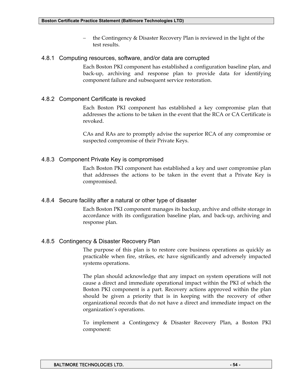the Contingency & Disaster Recovery Plan is reviewed in the light of the test results.

#### 4.8.1 Computing resources, software, and/or data are corrupted

Each Boston PKI component has established a configuration baseline plan, and back-up, archiving and response plan to provide data for identifying component failure and subsequent service restoration.

## 4.8.2 Component Certificate is revoked

Each Boston PKI component has established a key compromise plan that addresses the actions to be taken in the event that the RCA or CA Certificate is revoked.

CAs and RAs are to promptly advise the superior RCA of any compromise or suspected compromise of their Private Keys.

## 4.8.3 Component Private Key is compromised

Each Boston PKI component has established a key and user compromise plan that addresses the actions to be taken in the event that a Private Key is compromised.

## 4.8.4 Secure facility after a natural or other type of disaster

Each Boston PKI component manages its backup, archive and offsite storage in accordance with its configuration baseline plan, and back-up, archiving and response plan.

## 4.8.5 Contingency & Disaster Recovery Plan

The purpose of this plan is to restore core business operations as quickly as practicable when fire, strikes, etc have significantly and adversely impacted systems operations.

The plan should acknowledge that any impact on system operations will not cause a direct and immediate operational impact within the PKI of which the Boston PKI component is a part. Recovery actions approved within the plan should be given a priority that is in keeping with the recovery of other organizational records that do not have a direct and immediate impact on the organization's operations.

To implement a Contingency & Disaster Recovery Plan, a Boston PKI component: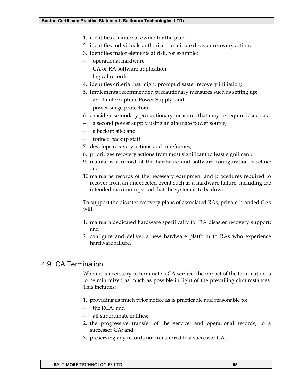- 1. identifies an internal owner for the plan;
- 2. identifies individuals authorized to initiate disaster recovery action;
- 3. identifies major elements at risk, for example;
- − operational hardware;
- CA or RA software application;
- logical records.
- 4. identifies criteria that might prompt disaster recovery initiation;
- 5. implements recommended precautionary measures such as setting up:
- − an Uninterruptible Power Supply; and
- power surge protectors.
- 6. considers secondary precautionary measures that may be required, such as:
- a second power supply using an alternate power source;
- − a backup site; and
- trained backup staff.
- 7. develops recovery actions and timeframes;
- 8. prioritizes recovery actions from most significant to least significant;
- 9. maintains a record of the hardware and software configuration baseline; and
- 10. maintains records of the necessary equipment and procedures required to recover from an unexpected event such as a hardware failure, including the intended maximum period that the system is to be down.

To support the disaster recovery plans of associated RAs, private-branded CAs will:

- 1. maintain dedicated hardware specifically for RA disaster recovery support; and
- 2. configure and deliver a new hardware platform to RAs who experience hardware failure.

# 4.9 CA Termination

When it is necessary to terminate a CA service, the impact of the termination is to be minimized as much as possible in light of the prevailing circumstances. This includes:

- 1. providing as much prior notice as is practicable and reasonable to:
- − the RCA; and
- all subordinate entities;
- 2. the progressive transfer of the service, and operational records, to a successor CA; and
- 3. preserving any records not transferred to a successor CA.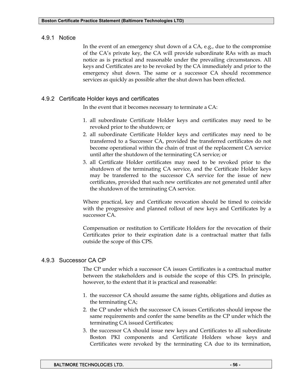## 4.9.1 Notice

In the event of an emergency shut down of a CA, e.g., due to the compromise of the CA's private key, the CA will provide subordinate RAs with as much notice as is practical and reasonable under the prevailing circumstances. All keys and Certificates are to be revoked by the CA immediately and prior to the emergency shut down. The same or a successor CA should recommence services as quickly as possible after the shut down has been effected.

## 4.9.2 Certificate Holder keys and certificates

In the event that it becomes necessary to terminate a CA:

- 1. all subordinate Certificate Holder keys and certificates may need to be revoked prior to the shutdown; or
- 2. all subordinate Certificate Holder keys and certificates may need to be transferred to a Successor CA, provided the transferred certificates do not become operational within the chain of trust of the replacement CA service until after the shutdown of the terminating CA service; or
- 3. all Certificate Holder certificates may need to be revoked prior to the shutdown of the terminating CA service, and the Certificate Holder keys may be transferred to the successor CA service for the issue of new certificates, provided that such new certificates are not generated until after the shutdown of the terminating CA service.

Where practical, key and Certificate revocation should be timed to coincide with the progressive and planned rollout of new keys and Certificates by a successor CA.

Compensation or restitution to Certificate Holders for the revocation of their Certificates prior to their expiration date is a contractual matter that falls outside the scope of this CPS.

## 4.9.3 Successor CA CP

The CP under which a successor CA issues Certificates is a contractual matter between the stakeholders and is outside the scope of this CPS. In principle, however, to the extent that it is practical and reasonable:

- 1. the successor CA should assume the same rights, obligations and duties as the terminating CA;
- 2. the CP under which the successor CA issues Certificates should impose the same requirements and confer the same benefits as the CP under which the terminating CA issued Certificates;
- 3. the successor CA should issue new keys and Certificates to all subordinate Boston PKI components and Certificate Holders whose keys and Certificates were revoked by the terminating CA due to its termination,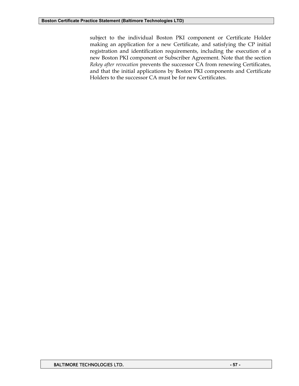subject to the individual Boston PKI component or Certificate Holder making an application for a new Certificate, and satisfying the CP initial registration and identification requirements, including the execution of a new Boston PKI component or Subscriber Agreement. Note that the section *Rekey after revocation* prevents the successor CA from renewing Certificates, and that the initial applications by Boston PKI components and Certificate Holders to the successor CA must be for new Certificates.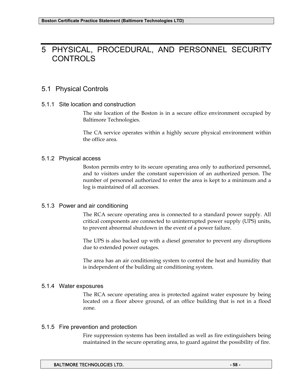# 5 PHYSICAL, PROCEDURAL, AND PERSONNEL SECURITY CONTROLS

## 5.1 Physical Controls

#### 5.1.1 Site location and construction

The site location of the Boston is in a secure office environment occupied by Baltimore Technologies.

The CA service operates within a highly secure physical environment within the office area.

## 5.1.2 Physical access

Boston permits entry to its secure operating area only to authorized personnel, and to visitors under the constant supervision of an authorized person. The number of personnel authorized to enter the area is kept to a minimum and a log is maintained of all accesses.

## 5.1.3 Power and air conditioning

The RCA secure operating area is connected to a standard power supply. All critical components are connected to uninterrupted power supply (UPS) units, to prevent abnormal shutdown in the event of a power failure.

The UPS is also backed up with a diesel generator to prevent any disruptions due to extended power outages.

The area has an air conditioning system to control the heat and humidity that is independent of the building air conditioning system.

## 5.1.4 Water exposures

The RCA secure operating area is protected against water exposure by being located on a floor above ground, of an office building that is not in a flood zone.

## 5.1.5 Fire prevention and protection

Fire suppression systems has been installed as well as fire extinguishers being maintained in the secure operating area, to guard against the possibility of fire.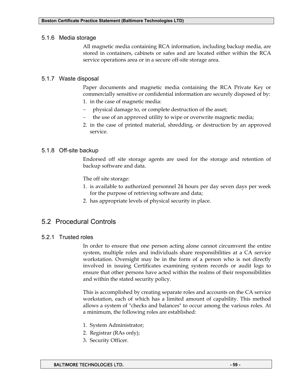#### 5.1.6 Media storage

All magnetic media containing RCA information, including backup media, are stored in containers, cabinets or safes and are located either within the RCA service operations area or in a secure off-site storage area.

## 5.1.7 Waste disposal

Paper documents and magnetic media containing the RCA Private Key or commercially sensitive or confidential information are securely disposed of by:

- 1. in the case of magnetic media:
- physical damage to, or complete destruction of the asset;
- the use of an approved utility to wipe or overwrite magnetic media;
- 2. in the case of printed material, shredding, or destruction by an approved service.

## 5.1.8 Off-site backup

Endorsed off site storage agents are used for the storage and retention of backup software and data.

The off site storage:

- 1. is available to authorized personnel 24 hours per day seven days per week for the purpose of retrieving software and data;
- 2. has appropriate levels of physical security in place.

# 5.2 Procedural Controls

## 5.2.1 Trusted roles

In order to ensure that one person acting alone cannot circumvent the entire system, multiple roles and individuals share responsibilities at a CA service workstation. Oversight may be in the form of a person who is not directly involved in issuing Certificates examining system records or audit logs to ensure that other persons have acted within the realms of their responsibilities and within the stated security policy.

This is accomplished by creating separate roles and accounts on the CA service workstation, each of which has a limited amount of capability. This method allows a system of "checks and balances" to occur among the various roles. At a minimum, the following roles are established:

- 1. System Administrator;
- 2. Registrar (RAs only);
- 3. Security Officer.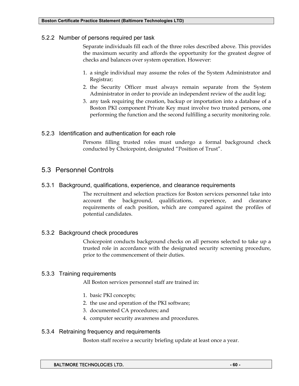## 5.2.2 Number of persons required per task

Separate individuals fill each of the three roles described above. This provides the maximum security and affords the opportunity for the greatest degree of checks and balances over system operation. However:

- 1. a single individual may assume the roles of the System Administrator and Registrar;
- 2. the Security Officer must always remain separate from the System Administrator in order to provide an independent review of the audit log;
- 3. any task requiring the creation, backup or importation into a database of a Boston PKI component Private Key must involve two trusted persons, one performing the function and the second fulfilling a security monitoring role.

## 5.2.3 Identification and authentication for each role

Persons filling trusted roles must undergo a formal background check conducted by Choicepoint, designated "Position of Trust".

## 5.3 Personnel Controls

#### 5.3.1 Background, qualifications, experience, and clearance requirements

The recruitment and selection practices for Boston services personnel take into account the background, qualifications, experience, and clearance requirements of each position, which are compared against the profiles of potential candidates.

## 5.3.2 Background check procedures

Choicepoint conducts background checks on all persons selected to take up a trusted role in accordance with the designated security screening procedure, prior to the commencement of their duties.

#### 5.3.3 Training requirements

All Boston services personnel staff are trained in:

- 1. basic PKI concepts;
- 2. the use and operation of the PKI software;
- 3. documented CA procedures; and
- 4. computer security awareness and procedures.

## 5.3.4 Retraining frequency and requirements

Boston staff receive a security briefing update at least once a year.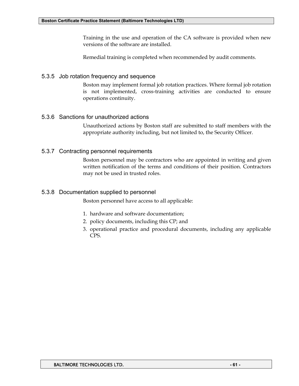Training in the use and operation of the CA software is provided when new versions of the software are installed.

Remedial training is completed when recommended by audit comments.

## 5.3.5 Job rotation frequency and sequence

Boston may implement formal job rotation practices. Where formal job rotation is not implemented, cross-training activities are conducted to ensure operations continuity.

## 5.3.6 Sanctions for unauthorized actions

Unauthorized actions by Boston staff are submitted to staff members with the appropriate authority including, but not limited to, the Security Officer.

## 5.3.7 Contracting personnel requirements

Boston personnel may be contractors who are appointed in writing and given written notification of the terms and conditions of their position. Contractors may not be used in trusted roles.

## 5.3.8 Documentation supplied to personnel

Boston personnel have access to all applicable:

- 1. hardware and software documentation;
- 2. policy documents, including this CP; and
- 3. operational practice and procedural documents, including any applicable CPS.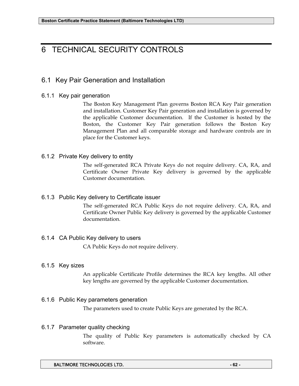# 6 TECHNICAL SECURITY CONTROLS

# 6.1 Key Pair Generation and Installation

## 6.1.1 Key pair generation

The Boston Key Management Plan governs Boston RCA Key Pair generation and installation. Customer Key Pair generation and installation is governed by the applicable Customer documentation. If the Customer is hosted by the Boston, the Customer Key Pair generation follows the Boston Key Management Plan and all comparable storage and hardware controls are in place for the Customer keys.

## 6.1.2 Private Key delivery to entity

The self-generated RCA Private Keys do not require delivery. CA, RA, and Certificate Owner Private Key delivery is governed by the applicable Customer documentation.

## 6.1.3 Public Key delivery to Certificate issuer

The self-generated RCA Public Keys do not require delivery. CA, RA, and Certificate Owner Public Key delivery is governed by the applicable Customer documentation.

## 6.1.4 CA Public Key delivery to users

CA Public Keys do not require delivery.

## 6.1.5 Key sizes

An applicable Certificate Profile determines the RCA key lengths. All other key lengths are governed by the applicable Customer documentation.

## 6.1.6 Public Key parameters generation

The parameters used to create Public Keys are generated by the RCA.

## 6.1.7 Parameter quality checking

The quality of Public Key parameters is automatically checked by CA software.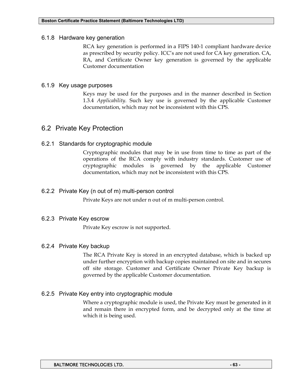#### 6.1.8 Hardware key generation

RCA key generation is performed in a FIPS 140-1 compliant hardware device as prescribed by security policy. ICC's are not used for CA key generation. CA, RA, and Certificate Owner key generation is governed by the applicable Customer documentation

## 6.1.9 Key usage purposes

Keys may be used for the purposes and in the manner described in Section 1.3.4 *Applicability*. Such key use is governed by the applicable Customer documentation, which may not be inconsistent with this CPS.

# 6.2 Private Key Protection

## 6.2.1 Standards for cryptographic module

Cryptographic modules that may be in use from time to time as part of the operations of the RCA comply with industry standards. Customer use of cryptographic modules is governed by the applicable Customer documentation, which may not be inconsistent with this CPS.

## 6.2.2 Private Key (n out of m) multi-person control

Private Keys are not under n out of m multi-person control.

## 6.2.3 Private Key escrow

Private Key escrow is not supported.

## 6.2.4 Private Key backup

The RCA Private Key is stored in an encrypted database, which is backed up under further encryption with backup copies maintained on site and in secures off site storage. Customer and Certificate Owner Private Key backup is governed by the applicable Customer documentation.

## 6.2.5 Private Key entry into cryptographic module

Where a cryptographic module is used, the Private Key must be generated in it and remain there in encrypted form, and be decrypted only at the time at which it is being used.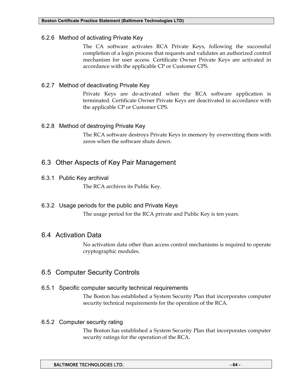## 6.2.6 Method of activating Private Key

The CA software activates RCA Private Keys, following the successful completion of a login process that requests and validates an authorized control mechanism for user access. Certificate Owner Private Keys are activated in accordance with the applicable CP or Customer CPS.

## 6.2.7 Method of deactivating Private Key

Private Keys are de-activated when the RCA software application is terminated. Certificate Owner Private Keys are deactivated in accordance with the applicable CP or Customer CPS.

## 6.2.8 Method of destroying Private Key

The RCA software destroys Private Keys in memory by overwriting them with zeros when the software shuts down.

# 6.3 Other Aspects of Key Pair Management

## 6.3.1 Public Key archival

The RCA archives its Public Key.

## 6.3.2 Usage periods for the public and Private Keys

The usage period for the RCA private and Public Key is ten years.

## 6.4 Activation Data

No activation data other than access control mechanisms is required to operate cryptographic modules.

# 6.5 Computer Security Controls

## 6.5.1 Specific computer security technical requirements

The Boston has established a System Security Plan that incorporates computer security technical requirements for the operation of the RCA.

## 6.5.2 Computer security rating

The Boston has established a System Security Plan that incorporates computer security ratings for the operation of the RCA.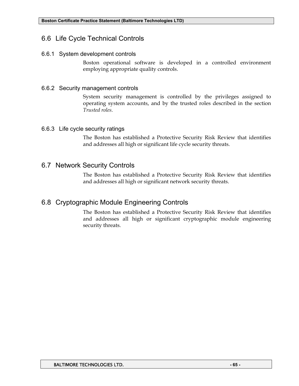# 6.6 Life Cycle Technical Controls

## 6.6.1 System development controls

Boston operational software is developed in a controlled environment employing appropriate quality controls.

## 6.6.2 Security management controls

System security management is controlled by the privileges assigned to operating system accounts, and by the trusted roles described in the section *Trusted roles*.

## 6.6.3 Life cycle security ratings

The Boston has established a Protective Security Risk Review that identifies and addresses all high or significant life cycle security threats.

# 6.7 Network Security Controls

The Boston has established a Protective Security Risk Review that identifies and addresses all high or significant network security threats.

# 6.8 Cryptographic Module Engineering Controls

The Boston has established a Protective Security Risk Review that identifies and addresses all high or significant cryptographic module engineering security threats.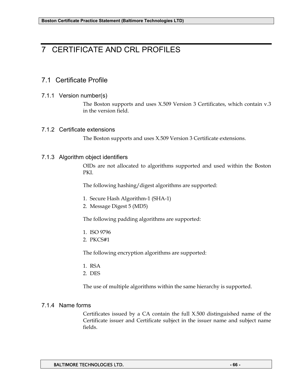# 7 CERTIFICATE AND CRL PROFILES

# 7.1 Certificate Profile

#### 7.1.1 Version number(s)

The Boston supports and uses X.509 Version 3 Certificates, which contain v.3 in the version field.

#### 7.1.2 Certificate extensions

The Boston supports and uses X.509 Version 3 Certificate extensions.

#### 7.1.3 Algorithm object identifiers

OIDs are not allocated to algorithms supported and used within the Boston PKI.

The following hashing/digest algorithms are supported:

- 1. Secure Hash Algorithm-1 (SHA-1)
- 2. Message Digest 5 (MD5)

The following padding algorithms are supported:

- 1. ISO 9796
- 2. PKCS#1

The following encryption algorithms are supported:

- 1. RSA
- 2. DES

The use of multiple algorithms within the same hierarchy is supported.

#### 7.1.4 Name forms

Certificates issued by a CA contain the full X.500 distinguished name of the Certificate issuer and Certificate subject in the issuer name and subject name fields.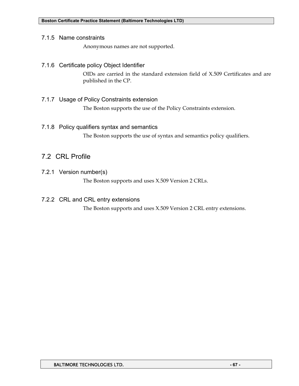#### 7.1.5 Name constraints

Anonymous names are not supported.

## 7.1.6 Certificate policy Object Identifier

OIDs are carried in the standard extension field of X.509 Certificates and are published in the CP.

## 7.1.7 Usage of Policy Constraints extension

The Boston supports the use of the Policy Constraints extension.

## 7.1.8 Policy qualifiers syntax and semantics

The Boston supports the use of syntax and semantics policy qualifiers.

# 7.2 CRL Profile

7.2.1 Version number(s)

The Boston supports and uses X.509 Version 2 CRLs.

## 7.2.2 CRL and CRL entry extensions

The Boston supports and uses X.509 Version 2 CRL entry extensions.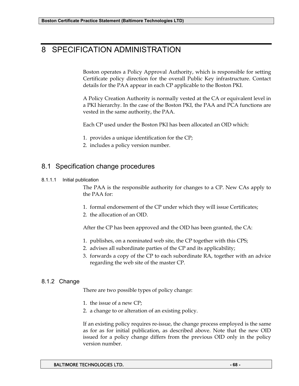# 8 SPECIFICATION ADMINISTRATION

Boston operates a Policy Approval Authority, which is responsible for setting Certificate policy direction for the overall Public Key infrastructure. Contact details for the PAA appear in each CP applicable to the Boston PKI.

A Policy Creation Authority is normally vested at the CA or equivalent level in a PKI hierarchy. In the case of the Boston PKI, the PAA and PCA functions are vested in the same authority, the PAA.

Each CP used under the Boston PKI has been allocated an OID which:

- 1. provides a unique identification for the CP;
- 2. includes a policy version number.

# 8.1 Specification change procedures

#### 8.1.1.1 Initial publication

The PAA is the responsible authority for changes to a CP. New CAs apply to the PAA for:

- 1. formal endorsement of the CP under which they will issue Certificates;
- 2. the allocation of an OID.

After the CP has been approved and the OID has been granted, the CA:

- 1. publishes, on a nominated web site, the CP together with this CPS;
- 2. advises all subordinate parties of the CP and its applicability;
- 3. forwards a copy of the CP to each subordinate RA, together with an advice regarding the web site of the master CP.

## 8.1.2 Change

There are two possible types of policy change:

- 1. the issue of a new CP;
- 2. a change to or alteration of an existing policy.

If an existing policy requires re-issue, the change process employed is the same as for as for initial publication, as described above. Note that the new OID issued for a policy change differs from the previous OID only in the policy version number.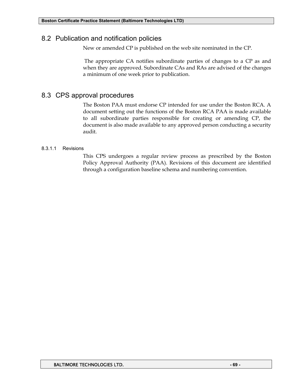# 8.2 Publication and notification policies

New or amended CP is published on the web site nominated in the CP.

 The appropriate CA notifies subordinate parties of changes to a CP as and when they are approved. Subordinate CAs and RAs are advised of the changes a minimum of one week prior to publication.

# 8.3 CPS approval procedures

The Boston PAA must endorse CP intended for use under the Boston RCA. A document setting out the functions of the Boston RCA PAA is made available to all subordinate parties responsible for creating or amending CP, the document is also made available to any approved person conducting a security audit.

## 8.3.1.1 Revisions

This CPS undergoes a regular review process as prescribed by the Boston Policy Approval Authority (PAA). Revisions of this document are identified through a configuration baseline schema and numbering convention.